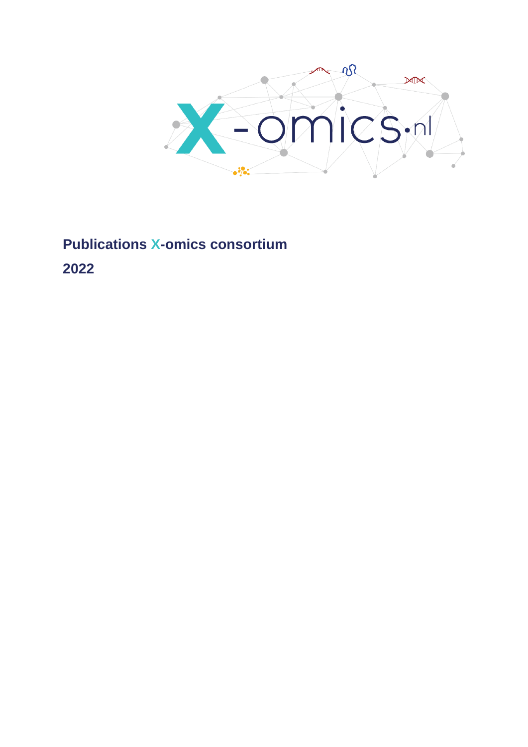

**Publications X-omics consortium**

**2022**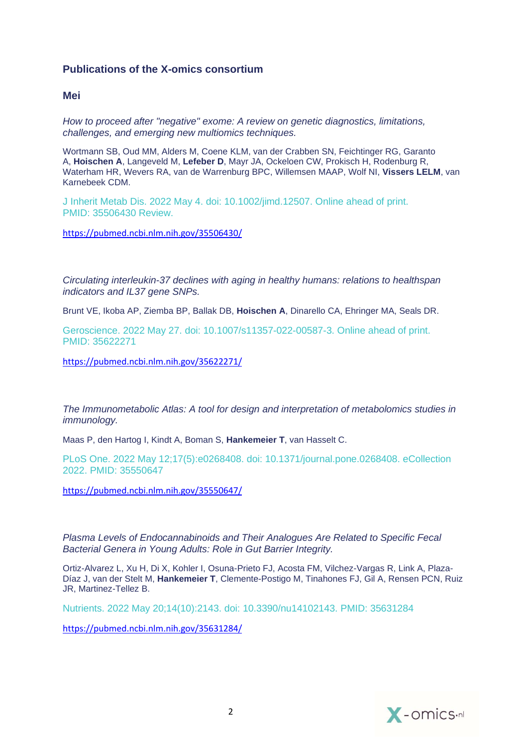# **Publications of the X-omics consortium**

## **Mei**

*[How to proceed after "negative" exome: A review on genetic diagnostics, limitations,](https://pubmed.ncbi.nlm.nih.gov/35506430/)  [challenges, and emerging new multiomics techniques.](https://pubmed.ncbi.nlm.nih.gov/35506430/)*

Wortmann SB, Oud MM, Alders M, Coene KLM, van der Crabben SN, Feichtinger RG, Garanto A, **Hoischen A**, Langeveld M, **Lefeber D**, Mayr JA, Ockeloen CW, Prokisch H, Rodenburg R, Waterham HR, Wevers RA, van de Warrenburg BPC, Willemsen MAAP, Wolf NI, **Vissers LELM**, van Karnebeek CDM.

J Inherit Metab Dis. 2022 May 4. doi: 10.1002/jimd.12507. Online ahead of print. PMID: 35506430 Review.

<https://pubmed.ncbi.nlm.nih.gov/35506430/>

*[Circulating interleukin-37 declines with aging in healthy humans: relations to healthspan](https://pubmed.ncbi.nlm.nih.gov/35622271/)  [indicators and IL37 gene SNPs.](https://pubmed.ncbi.nlm.nih.gov/35622271/)*

Brunt VE, Ikoba AP, Ziemba BP, Ballak DB, **Hoischen A**, Dinarello CA, Ehringer MA, Seals DR.

Geroscience. 2022 May 27. doi: 10.1007/s11357-022-00587-3. Online ahead of print. PMID: 35622271

<https://pubmed.ncbi.nlm.nih.gov/35622271/>

*[The Immunometabolic Atlas: A tool for design](https://pubmed.ncbi.nlm.nih.gov/35550647/) and interpretation of metabolomics studies in [immunology.](https://pubmed.ncbi.nlm.nih.gov/35550647/)*

Maas P, den Hartog I, Kindt A, Boman S, **Hankemeier T**, van Hasselt C.

PLoS One. 2022 May 12;17(5):e0268408. doi: 10.1371/journal.pone.0268408. eCollection 2022. PMID: 35550647

<https://pubmed.ncbi.nlm.nih.gov/35550647/>

*[Plasma Levels of Endocannabinoids and Their Analogues Are Related to Specific Fecal](https://pubmed.ncbi.nlm.nih.gov/35631284/)  [Bacterial Genera in Young Adults: Role in Gut Barrier Integrity.](https://pubmed.ncbi.nlm.nih.gov/35631284/)*

Ortiz-Alvarez L, Xu H, Di X, Kohler I, Osuna-Prieto FJ, Acosta FM, Vilchez-Vargas R, Link A, Plaza-Díaz J, van der Stelt M, **Hankemeier T**, Clemente-Postigo M, Tinahones FJ, Gil A, Rensen PCN, Ruiz JR, Martinez-Tellez B.

Nutrients. 2022 May 20;14(10):2143. doi: 10.3390/nu14102143. PMID: 35631284

<https://pubmed.ncbi.nlm.nih.gov/35631284/>

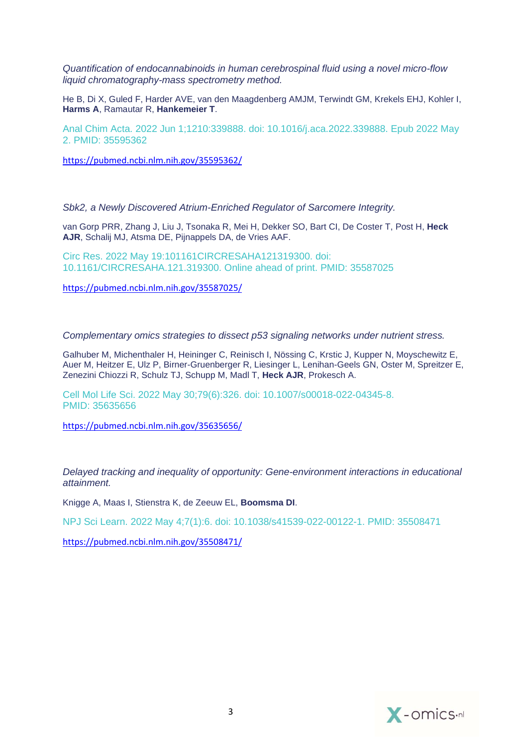*[Quantification of endocannabinoids in human cerebrospinal fluid using a novel micro-flow](https://pubmed.ncbi.nlm.nih.gov/35595362/)  [liquid chromatography-mass spectrometry method.](https://pubmed.ncbi.nlm.nih.gov/35595362/)*

He B, Di X, Guled F, Harder AVE, van den Maagdenberg AMJM, Terwindt GM, Krekels EHJ, Kohler I, **Harms A**, Ramautar R, **Hankemeier T**.

Anal Chim Acta. 2022 Jun 1;1210:339888. doi: 10.1016/j.aca.2022.339888. Epub 2022 May 2. PMID: 35595362

<https://pubmed.ncbi.nlm.nih.gov/35595362/>

*[Sbk2, a Newly Discovered Atrium-Enriched Regulator of Sarcomere Integrity.](https://pubmed.ncbi.nlm.nih.gov/35587025/)*

van Gorp PRR, Zhang J, Liu J, Tsonaka R, Mei H, Dekker SO, Bart CI, De Coster T, Post H, **Heck AJR**, Schalij MJ, Atsma DE, Pijnappels DA, de Vries AAF.

Circ Res. 2022 May 19:101161CIRCRESAHA121319300. doi: 10.1161/CIRCRESAHA.121.319300. Online ahead of print. PMID: 35587025

<https://pubmed.ncbi.nlm.nih.gov/35587025/>

*[Complementary omics strategies to dissect p53 signaling networks under nutrient stress.](https://pubmed.ncbi.nlm.nih.gov/35635656/)*

Galhuber M, Michenthaler H, Heininger C, Reinisch I, Nössing C, Krstic J, Kupper N, Moyschewitz E, Auer M, Heitzer E, Ulz P, Birner-Gruenberger R, Liesinger L, Lenihan-Geels GN, Oster M, Spreitzer E, Zenezini Chiozzi R, Schulz TJ, Schupp M, Madl T, **Heck AJR**, Prokesch A.

Cell Mol Life Sci. 2022 May 30;79(6):326. doi: 10.1007/s00018-022-04345-8. PMID: 35635656

<https://pubmed.ncbi.nlm.nih.gov/35635656/>

*[Delayed tracking and inequality of opportunity: Gene-environment interactions in educational](https://pubmed.ncbi.nlm.nih.gov/35508471/)  [attainment.](https://pubmed.ncbi.nlm.nih.gov/35508471/)*

Knigge A, Maas I, Stienstra K, de Zeeuw EL, **Boomsma DI**.

NPJ Sci Learn. 2022 May 4;7(1):6. doi: 10.1038/s41539-022-00122-1. PMID: 35508471

<https://pubmed.ncbi.nlm.nih.gov/35508471/>

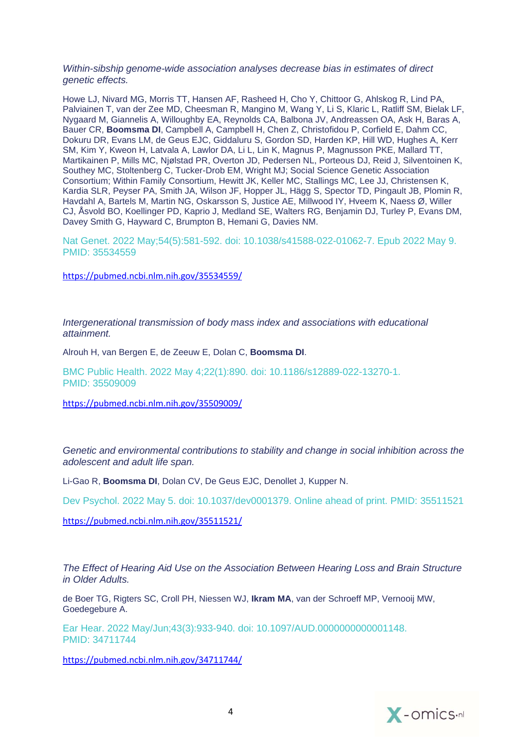#### *[Within-sibship genome-wide association analyses decrease bias in estimates of direct](https://pubmed.ncbi.nlm.nih.gov/35534559/)  [genetic effects.](https://pubmed.ncbi.nlm.nih.gov/35534559/)*

Howe LJ, Nivard MG, Morris TT, Hansen AF, Rasheed H, Cho Y, Chittoor G, Ahlskog R, Lind PA, Palviainen T, van der Zee MD, Cheesman R, Mangino M, Wang Y, Li S, Klaric L, Ratliff SM, Bielak LF, Nygaard M, Giannelis A, Willoughby EA, Reynolds CA, Balbona JV, Andreassen OA, Ask H, Baras A, Bauer CR, **Boomsma DI**, Campbell A, Campbell H, Chen Z, Christofidou P, Corfield E, Dahm CC, Dokuru DR, Evans LM, de Geus EJC, Giddaluru S, Gordon SD, Harden KP, Hill WD, Hughes A, Kerr SM, Kim Y, Kweon H, Latvala A, Lawlor DA, Li L, Lin K, Magnus P, Magnusson PKE, Mallard TT, Martikainen P, Mills MC, Njølstad PR, Overton JD, Pedersen NL, Porteous DJ, Reid J, Silventoinen K, Southey MC, Stoltenberg C, Tucker-Drob EM, Wright MJ; Social Science Genetic Association Consortium; Within Family Consortium, Hewitt JK, Keller MC, Stallings MC, Lee JJ, Christensen K, Kardia SLR, Peyser PA, Smith JA, Wilson JF, Hopper JL, Hägg S, Spector TD, Pingault JB, Plomin R, Havdahl A, Bartels M, Martin NG, Oskarsson S, Justice AE, Millwood IY, Hveem K, Naess Ø, Willer CJ, Åsvold BO, Koellinger PD, Kaprio J, Medland SE, Walters RG, Benjamin DJ, Turley P, Evans DM, Davey Smith G, Hayward C, Brumpton B, Hemani G, Davies NM.

Nat Genet. 2022 May;54(5):581-592. doi: 10.1038/s41588-022-01062-7. Epub 2022 May 9. PMID: 35534559

<https://pubmed.ncbi.nlm.nih.gov/35534559/>

*[Intergenerational transmission of body mass index and associations with educational](https://pubmed.ncbi.nlm.nih.gov/35509009/)  [attainment.](https://pubmed.ncbi.nlm.nih.gov/35509009/)*

Alrouh H, van Bergen E, de Zeeuw E, Dolan C, **Boomsma DI**.

BMC Public Health. 2022 May 4;22(1):890. doi: 10.1186/s12889-022-13270-1. PMID: 35509009

<https://pubmed.ncbi.nlm.nih.gov/35509009/>

*[Genetic and environmental contributions to stability and change in social inhibition across the](https://pubmed.ncbi.nlm.nih.gov/35511521/)  [adolescent and adult life span.](https://pubmed.ncbi.nlm.nih.gov/35511521/)*

Li-Gao R, **Boomsma DI**, Dolan CV, De Geus EJC, Denollet J, Kupper N.

Dev Psychol. 2022 May 5. doi: 10.1037/dev0001379. Online ahead of print. PMID: 35511521

<https://pubmed.ncbi.nlm.nih.gov/35511521/>

*[The Effect of Hearing Aid Use on the Association](https://pubmed.ncbi.nlm.nih.gov/34711744/) Between Hearing Loss and Brain Structure [in Older Adults.](https://pubmed.ncbi.nlm.nih.gov/34711744/)*

de Boer TG, Rigters SC, Croll PH, Niessen WJ, **Ikram MA**, van der Schroeff MP, Vernooij MW, Goedegebure A.

Ear Hear. 2022 May/Jun;43(3):933-940. doi: 10.1097/AUD.0000000000001148. PMID: 34711744

<https://pubmed.ncbi.nlm.nih.gov/34711744/>

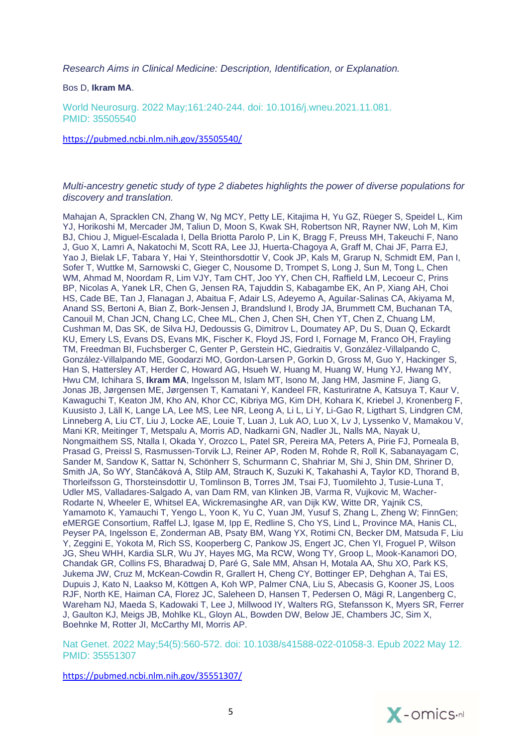*[Research Aims in Clinical Medicine: Description, Identification, or Explanation.](https://pubmed.ncbi.nlm.nih.gov/35505540/)*

Bos D, **Ikram MA**.

World Neurosurg. 2022 May;161:240-244. doi: 10.1016/j.wneu.2021.11.081. PMID: 35505540

<https://pubmed.ncbi.nlm.nih.gov/35505540/>

#### *[Multi-ancestry genetic study of type 2 diabetes highlights the power of diverse populations for](https://pubmed.ncbi.nlm.nih.gov/35551307/)  [discovery and translation.](https://pubmed.ncbi.nlm.nih.gov/35551307/)*

Mahajan A, Spracklen CN, Zhang W, Ng MCY, Petty LE, Kitajima H, Yu GZ, Rüeger S, Speidel L, Kim YJ, Horikoshi M, Mercader JM, Taliun D, Moon S, Kwak SH, Robertson NR, Rayner NW, Loh M, Kim BJ, Chiou J, Miguel-Escalada I, Della Briotta Parolo P, Lin K, Bragg F, Preuss MH, Takeuchi F, Nano J, Guo X, Lamri A, Nakatochi M, Scott RA, Lee JJ, Huerta-Chagoya A, Graff M, Chai JF, Parra EJ, Yao J, Bielak LF, Tabara Y, Hai Y, Steinthorsdottir V, Cook JP, Kals M, Grarup N, Schmidt EM, Pan I, Sofer T, Wuttke M, Sarnowski C, Gieger C, Nousome D, Trompet S, Long J, Sun M, Tong L, Chen WM, Ahmad M, Noordam R, Lim VJY, Tam CHT, Joo YY, Chen CH, Raffield LM, Lecoeur C, Prins BP, Nicolas A, Yanek LR, Chen G, Jensen RA, Tajuddin S, Kabagambe EK, An P, Xiang AH, Choi HS, Cade BE, Tan J, Flanagan J, Abaitua F, Adair LS, Adeyemo A, Aguilar-Salinas CA, Akiyama M, Anand SS, Bertoni A, Bian Z, Bork-Jensen J, Brandslund I, Brody JA, Brummett CM, Buchanan TA, Canouil M, Chan JCN, Chang LC, Chee ML, Chen J, Chen SH, Chen YT, Chen Z, Chuang LM, Cushman M, Das SK, de Silva HJ, Dedoussis G, Dimitrov L, Doumatey AP, Du S, Duan Q, Eckardt KU, Emery LS, Evans DS, Evans MK, Fischer K, Floyd JS, Ford I, Fornage M, Franco OH, Frayling TM, Freedman BI, Fuchsberger C, Genter P, Gerstein HC, Giedraitis V, González-Villalpando C, González-Villalpando ME, Goodarzi MO, Gordon-Larsen P, Gorkin D, Gross M, Guo Y, Hackinger S, Han S, Hattersley AT, Herder C, Howard AG, Hsueh W, Huang M, Huang W, Hung YJ, Hwang MY, Hwu CM, Ichihara S, **Ikram MA**, Ingelsson M, Islam MT, Isono M, Jang HM, Jasmine F, Jiang G, Jonas JB, Jørgensen ME, Jørgensen T, Kamatani Y, Kandeel FR, Kasturiratne A, Katsuya T, Kaur V, Kawaguchi T, Keaton JM, Kho AN, Khor CC, Kibriya MG, Kim DH, Kohara K, Kriebel J, Kronenberg F, Kuusisto J, Läll K, Lange LA, Lee MS, Lee NR, Leong A, Li L, Li Y, Li-Gao R, Ligthart S, Lindgren CM, Linneberg A, Liu CT, Liu J, Locke AE, Louie T, Luan J, Luk AO, Luo X, Lv J, Lyssenko V, Mamakou V, Mani KR, Meitinger T, Metspalu A, Morris AD, Nadkarni GN, Nadler JL, Nalls MA, Nayak U, Nongmaithem SS, Ntalla I, Okada Y, Orozco L, Patel SR, Pereira MA, Peters A, Pirie FJ, Porneala B, Prasad G, Preissl S, Rasmussen-Torvik LJ, Reiner AP, Roden M, Rohde R, Roll K, Sabanayagam C, Sander M, Sandow K, Sattar N, Schönherr S, Schurmann C, Shahriar M, Shi J, Shin DM, Shriner D, Smith JA, So WY, Stančáková A, Stilp AM, Strauch K, Suzuki K, Takahashi A, Taylor KD, Thorand B, Thorleifsson G, Thorsteinsdottir U, Tomlinson B, Torres JM, Tsai FJ, Tuomilehto J, Tusie-Luna T, Udler MS, Valladares-Salgado A, van Dam RM, van Klinken JB, Varma R, Vujkovic M, Wacher-Rodarte N, Wheeler E, Whitsel EA, Wickremasinghe AR, van Dijk KW, Witte DR, Yajnik CS, Yamamoto K, Yamauchi T, Yengo L, Yoon K, Yu C, Yuan JM, Yusuf S, Zhang L, Zheng W; FinnGen; eMERGE Consortium, Raffel LJ, Igase M, Ipp E, Redline S, Cho YS, Lind L, Province MA, Hanis CL, Peyser PA, Ingelsson E, Zonderman AB, Psaty BM, Wang YX, Rotimi CN, Becker DM, Matsuda F, Liu Y, Zeggini E, Yokota M, Rich SS, Kooperberg C, Pankow JS, Engert JC, Chen YI, Froguel P, Wilson JG, Sheu WHH, Kardia SLR, Wu JY, Hayes MG, Ma RCW, Wong TY, Groop L, Mook-Kanamori DO, Chandak GR, Collins FS, Bharadwaj D, Paré G, Sale MM, Ahsan H, Motala AA, Shu XO, Park KS, Jukema JW, Cruz M, McKean-Cowdin R, Grallert H, Cheng CY, Bottinger EP, Dehghan A, Tai ES, Dupuis J, Kato N, Laakso M, Köttgen A, Koh WP, Palmer CNA, Liu S, Abecasis G, Kooner JS, Loos RJF, North KE, Haiman CA, Florez JC, Saleheen D, Hansen T, Pedersen O, Mägi R, Langenberg C, Wareham NJ, Maeda S, Kadowaki T, Lee J, Millwood IY, Walters RG, Stefansson K, Myers SR, Ferrer J, Gaulton KJ, Meigs JB, Mohlke KL, Gloyn AL, Bowden DW, Below JE, Chambers JC, Sim X, Boehnke M, Rotter JI, McCarthy MI, Morris AP.

Nat Genet. 2022 May;54(5):560-572. doi: 10.1038/s41588-022-01058-3. Epub 2022 May 12. PMID: 35551307

<https://pubmed.ncbi.nlm.nih.gov/35551307/>

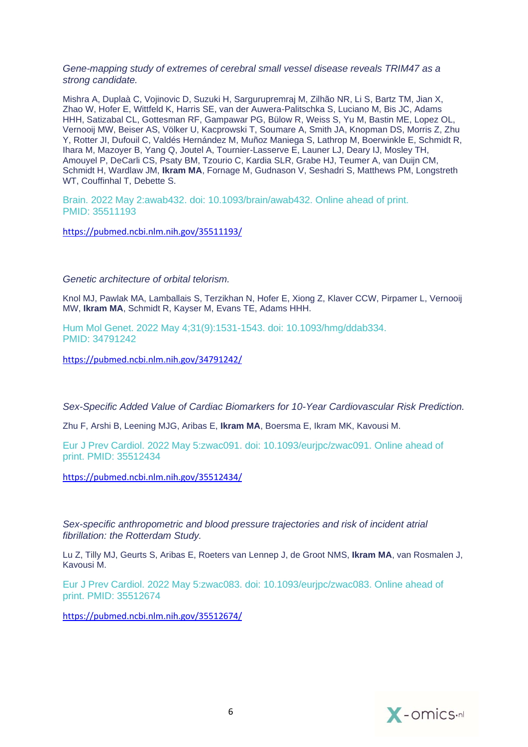#### *[Gene-mapping study of extremes of cerebral small vessel disease reveals TRIM47 as a](https://pubmed.ncbi.nlm.nih.gov/35511193/)  [strong candidate.](https://pubmed.ncbi.nlm.nih.gov/35511193/)*

Mishra A, Duplaà C, Vojinovic D, Suzuki H, Sargurupremraj M, Zilhão NR, Li S, Bartz TM, Jian X, Zhao W, Hofer E, Wittfeld K, Harris SE, van der Auwera-Palitschka S, Luciano M, Bis JC, Adams HHH, Satizabal CL, Gottesman RF, Gampawar PG, Bülow R, Weiss S, Yu M, Bastin ME, Lopez OL, Vernooij MW, Beiser AS, Völker U, Kacprowski T, Soumare A, Smith JA, Knopman DS, Morris Z, Zhu Y, Rotter JI, Dufouil C, Valdés Hernández M, Muñoz Maniega S, Lathrop M, Boerwinkle E, Schmidt R, Ihara M, Mazoyer B, Yang Q, Joutel A, Tournier-Lasserve E, Launer LJ, Deary IJ, Mosley TH, Amouyel P, DeCarli CS, Psaty BM, Tzourio C, Kardia SLR, Grabe HJ, Teumer A, van Duijn CM, Schmidt H, Wardlaw JM, **Ikram MA**, Fornage M, Gudnason V, Seshadri S, Matthews PM, Longstreth WT, Couffinhal T, Debette S.

Brain. 2022 May 2:awab432. doi: 10.1093/brain/awab432. Online ahead of print. PMID: 35511193

<https://pubmed.ncbi.nlm.nih.gov/35511193/>

### *[Genetic architecture of orbital telorism.](https://pubmed.ncbi.nlm.nih.gov/34791242/)*

Knol MJ, Pawlak MA, Lamballais S, Terzikhan N, Hofer E, Xiong Z, Klaver CCW, Pirpamer L, Vernooij MW, **Ikram MA**, Schmidt R, Kayser M, Evans TE, Adams HHH.

Hum Mol Genet. 2022 May 4;31(9):1531-1543. doi: 10.1093/hmg/ddab334. PMID: 34791242

<https://pubmed.ncbi.nlm.nih.gov/34791242/>

*[Sex-Specific Added Value of Cardiac Biomarkers for 10-Year Cardiovascular Risk Prediction.](https://pubmed.ncbi.nlm.nih.gov/35512434/)*

Zhu F, Arshi B, Leening MJG, Aribas E, **Ikram MA**, Boersma E, Ikram MK, Kavousi M.

Eur J Prev Cardiol. 2022 May 5:zwac091. doi: 10.1093/eurjpc/zwac091. Online ahead of print. PMID: 35512434

<https://pubmed.ncbi.nlm.nih.gov/35512434/>

*Sex-specific anthropometric and blood pressure trajectories and risk of incident atrial fibrillation: the Rotterdam Study.*

Lu Z, Tilly MJ, Geurts S, Aribas E, Roeters van Lennep J, de Groot NMS, **Ikram MA**, van Rosmalen J, Kavousi M.

Eur J Prev Cardiol. 2022 May 5:zwac083. doi: 10.1093/eurjpc/zwac083. Online ahead of print. PMID: 35512674

<https://pubmed.ncbi.nlm.nih.gov/35512674/>

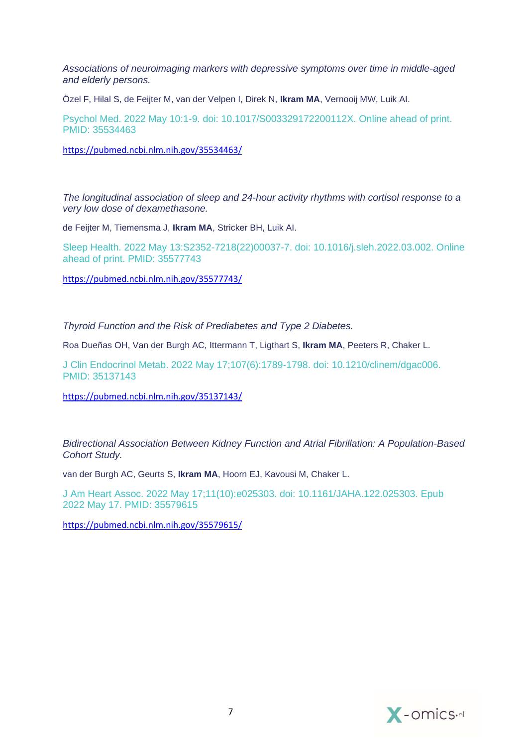*[Associations of neuroimaging markers with depressive symptoms over time in middle-aged](https://pubmed.ncbi.nlm.nih.gov/35534463/)  [and elderly persons.](https://pubmed.ncbi.nlm.nih.gov/35534463/)*

Özel F, Hilal S, de Feijter M, van der Velpen I, Direk N, **Ikram MA**, Vernooij MW, Luik AI.

Psychol Med. 2022 May 10:1-9. doi: 10.1017/S003329172200112X. Online ahead of print. PMID: 35534463

<https://pubmed.ncbi.nlm.nih.gov/35534463/>

*[The longitudinal association of sleep and 24-hour activity rhythms with cortisol response to a](https://pubmed.ncbi.nlm.nih.gov/35577743/)  [very low dose of dexamethasone.](https://pubmed.ncbi.nlm.nih.gov/35577743/)*

de Feijter M, Tiemensma J, **Ikram MA**, Stricker BH, Luik AI.

Sleep Health. 2022 May 13:S2352-7218(22)00037-7. doi: 10.1016/j.sleh.2022.03.002. Online ahead of print. PMID: 35577743

<https://pubmed.ncbi.nlm.nih.gov/35577743/>

*[Thyroid Function and the Risk of Prediabetes and Type 2 Diabetes.](https://pubmed.ncbi.nlm.nih.gov/35137143/)*

Roa Dueñas OH, Van der Burgh AC, Ittermann T, Ligthart S, **Ikram MA**, Peeters R, Chaker L.

J Clin Endocrinol Metab. 2022 May 17;107(6):1789-1798. doi: 10.1210/clinem/dgac006. PMID: 35137143

<https://pubmed.ncbi.nlm.nih.gov/35137143/>

*[Bidirectional Association Between Kidney Function and Atrial Fibrillation: A Population-Based](https://pubmed.ncbi.nlm.nih.gov/35579615/)  [Cohort Study.](https://pubmed.ncbi.nlm.nih.gov/35579615/)*

van der Burgh AC, Geurts S, **Ikram MA**, Hoorn EJ, Kavousi M, Chaker L.

J Am Heart Assoc. 2022 May 17;11(10):e025303. doi: 10.1161/JAHA.122.025303. Epub 2022 May 17. PMID: 35579615

<https://pubmed.ncbi.nlm.nih.gov/35579615/>

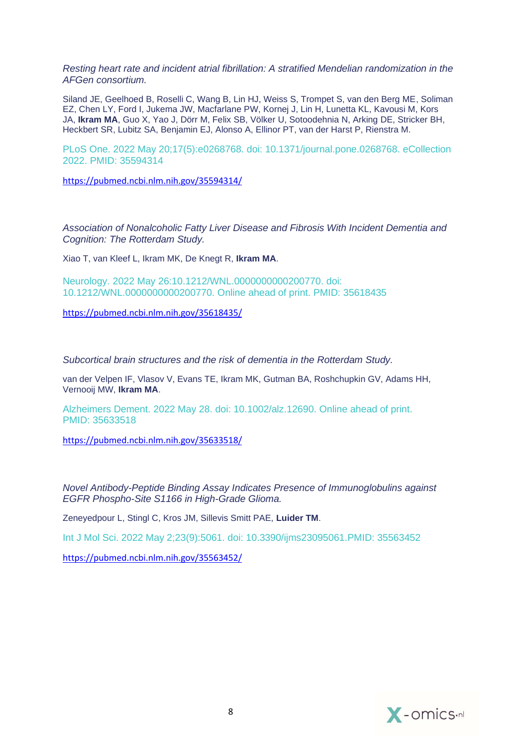*[Resting heart rate and incident atrial fibrillation: A stratified Mendelian randomization in the](https://pubmed.ncbi.nlm.nih.gov/35594314/)  [AFGen consortium.](https://pubmed.ncbi.nlm.nih.gov/35594314/)*

Siland JE, Geelhoed B, Roselli C, Wang B, Lin HJ, Weiss S, Trompet S, van den Berg ME, Soliman EZ, Chen LY, Ford I, Jukema JW, Macfarlane PW, Kornej J, Lin H, Lunetta KL, Kavousi M, Kors JA, **Ikram MA**, Guo X, Yao J, Dörr M, Felix SB, Völker U, Sotoodehnia N, Arking DE, Stricker BH, Heckbert SR, Lubitz SA, Benjamin EJ, Alonso A, Ellinor PT, van der Harst P, Rienstra M.

PLoS One. 2022 May 20;17(5):e0268768. doi: 10.1371/journal.pone.0268768. eCollection 2022. PMID: 35594314

<https://pubmed.ncbi.nlm.nih.gov/35594314/>

*[Association of Nonalcoholic Fatty Liver Disease and Fibrosis With Incident Dementia and](https://pubmed.ncbi.nlm.nih.gov/35618435/)  [Cognition: The Rotterdam Study.](https://pubmed.ncbi.nlm.nih.gov/35618435/)*

Xiao T, van Kleef L, Ikram MK, De Knegt R, **Ikram MA**.

Neurology. 2022 May 26:10.1212/WNL.0000000000200770. doi: 10.1212/WNL.0000000000200770. Online ahead of print. PMID: 35618435

<https://pubmed.ncbi.nlm.nih.gov/35618435/>

*[Subcortical brain structures and the risk of dementia in the Rotterdam Study.](https://pubmed.ncbi.nlm.nih.gov/35633518/)*

van der Velpen IF, Vlasov V, Evans TE, Ikram MK, Gutman BA, Roshchupkin GV, Adams HH, Vernooij MW, **Ikram MA**.

Alzheimers Dement. 2022 May 28. doi: 10.1002/alz.12690. Online ahead of print. PMID: 35633518

<https://pubmed.ncbi.nlm.nih.gov/35633518/>

*[Novel Antibody-Peptide Binding Assay Indicates Presence of Immunoglobulins against](https://pubmed.ncbi.nlm.nih.gov/35563452/)  [EGFR Phospho-Site S1166 in High-Grade Glioma.](https://pubmed.ncbi.nlm.nih.gov/35563452/)*

Zeneyedpour L, Stingl C, Kros JM, Sillevis Smitt PAE, **Luider TM**.

Int J Mol Sci. 2022 May 2;23(9):5061. doi: 10.3390/ijms23095061.PMID: 35563452

<https://pubmed.ncbi.nlm.nih.gov/35563452/>

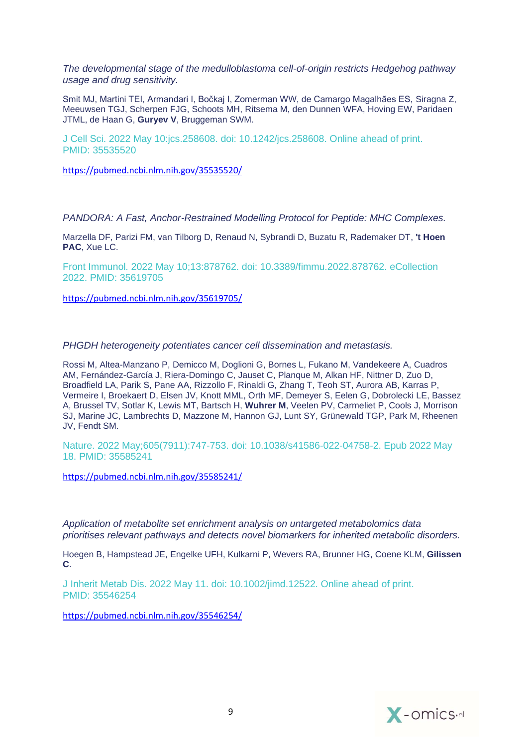*The [developmental stage of the medulloblastoma cell-of-origin restricts Hedgehog pathway](https://pubmed.ncbi.nlm.nih.gov/35535520/)  [usage and drug sensitivity.](https://pubmed.ncbi.nlm.nih.gov/35535520/)*

Smit MJ, Martini TEI, Armandari I, Bočkaj I, Zomerman WW, de Camargo Magalhães ES, Siragna Z, Meeuwsen TGJ, Scherpen FJG, Schoots MH, Ritsema M, den Dunnen WFA, Hoving EW, Paridaen JTML, de Haan G, **Guryev V**, Bruggeman SWM.

J Cell Sci. 2022 May 10:jcs.258608. doi: 10.1242/jcs.258608. Online ahead of print. PMID: 35535520

<https://pubmed.ncbi.nlm.nih.gov/35535520/>

*[PANDORA: A Fast, Anchor-Restrained Modelling Protocol for Peptide: MHC Complexes.](https://pubmed.ncbi.nlm.nih.gov/35619705/)*

Marzella DF, Parizi FM, van Tilborg D, Renaud N, Sybrandi D, Buzatu R, Rademaker DT, **'t Hoen PAC**, Xue LC.

Front Immunol. 2022 May 10;13:878762. doi: 10.3389/fimmu.2022.878762. eCollection 2022. PMID: 35619705

<https://pubmed.ncbi.nlm.nih.gov/35619705/>

*[PHGDH heterogeneity potentiates cancer](https://pubmed.ncbi.nlm.nih.gov/35585241/) cell dissemination and metastasis.*

Rossi M, Altea-Manzano P, Demicco M, Doglioni G, Bornes L, Fukano M, Vandekeere A, Cuadros AM, Fernández-García J, Riera-Domingo C, Jauset C, Planque M, Alkan HF, Nittner D, Zuo D, Broadfield LA, Parik S, Pane AA, Rizzollo F, Rinaldi G, Zhang T, Teoh ST, Aurora AB, Karras P, Vermeire I, Broekaert D, Elsen JV, Knott MML, Orth MF, Demeyer S, Eelen G, Dobrolecki LE, Bassez A, Brussel TV, Sotlar K, Lewis MT, Bartsch H, **Wuhrer M**, Veelen PV, Carmeliet P, Cools J, Morrison SJ, Marine JC, Lambrechts D, Mazzone M, Hannon GJ, Lunt SY, Grünewald TGP, Park M, Rheenen JV, Fendt SM.

Nature. 2022 May;605(7911):747-753. doi: 10.1038/s41586-022-04758-2. Epub 2022 May 18. PMID: 35585241

<https://pubmed.ncbi.nlm.nih.gov/35585241/>

*[Application of metabolite set enrichment analysis on untargeted metabolomics data](https://pubmed.ncbi.nlm.nih.gov/35546254/)  [prioritises relevant pathways and detects novel biomarkers for inherited metabolic disorders.](https://pubmed.ncbi.nlm.nih.gov/35546254/)*

Hoegen B, Hampstead JE, Engelke UFH, Kulkarni P, Wevers RA, Brunner HG, Coene KLM, **Gilissen C**.

J Inherit Metab Dis. 2022 May 11. doi: 10.1002/jimd.12522. Online ahead of print. PMID: 35546254

<https://pubmed.ncbi.nlm.nih.gov/35546254/>

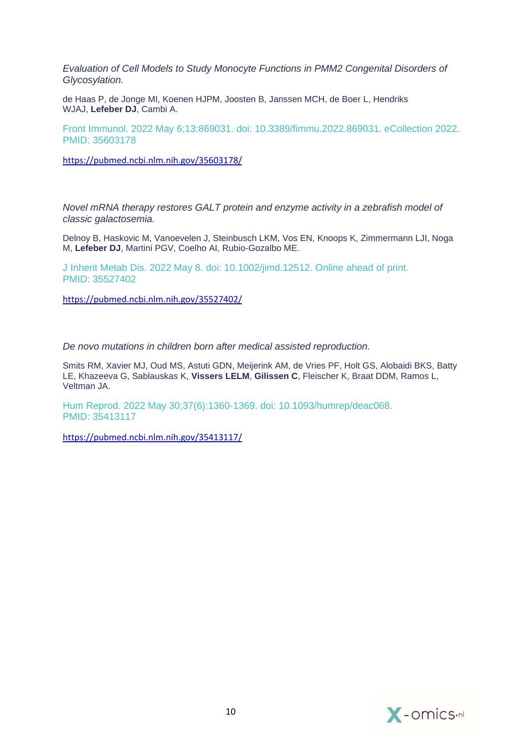*[Evaluation of Cell Models to Study Monocyte Functions in PMM2 Congenital Disorders of](https://pubmed.ncbi.nlm.nih.gov/35603178/)  [Glycosylation.](https://pubmed.ncbi.nlm.nih.gov/35603178/)*

de Haas P, de Jonge MI, Koenen HJPM, Joosten B, Janssen MCH, de Boer L, Hendriks WJAJ, **Lefeber DJ**, Cambi A.

Front Immunol. 2022 May 6;13:869031. doi: 10.3389/fimmu.2022.869031. eCollection 2022. PMID: 35603178

<https://pubmed.ncbi.nlm.nih.gov/35603178/>

*[Novel mRNA therapy restores GALT protein and enzyme activity in a zebrafish model of](https://pubmed.ncbi.nlm.nih.gov/35527402/)  [classic galactosemia.](https://pubmed.ncbi.nlm.nih.gov/35527402/)*

Delnoy B, Haskovic M, Vanoevelen J, Steinbusch LKM, Vos EN, Knoops K, Zimmermann LJI, Noga M, **Lefeber DJ**, Martini PGV, Coelho AI, Rubio-Gozalbo ME.

J Inherit Metab Dis. 2022 May 8. doi: 10.1002/jimd.12512. Online ahead of print. PMID: 35527402

<https://pubmed.ncbi.nlm.nih.gov/35527402/>

*[De novo mutations in children born after medical assisted reproduction.](https://pubmed.ncbi.nlm.nih.gov/35413117/)*

Smits RM, Xavier MJ, Oud MS, Astuti GDN, Meijerink AM, de Vries PF, Holt GS, Alobaidi BKS, Batty LE, Khazeeva G, Sablauskas K, **Vissers LELM**, **Gilissen C**, Fleischer K, Braat DDM, Ramos L, Veltman JA.

Hum Reprod. 2022 May 30;37(6):1360-1369. doi: 10.1093/humrep/deac068. PMID: 35413117

<https://pubmed.ncbi.nlm.nih.gov/35413117/>

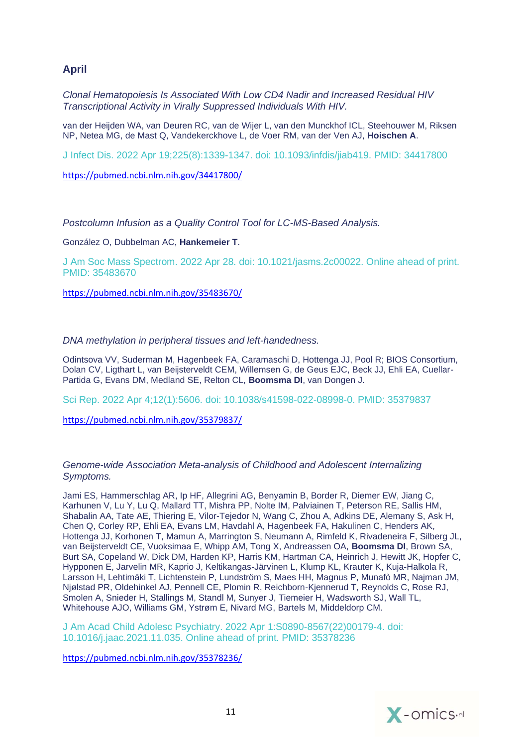# **April**

*[Clonal Hematopoiesis Is Associated With Low CD4 Nadir and Increased Residual HIV](https://pubmed.ncbi.nlm.nih.gov/34417800/)  [Transcriptional Activity in Virally Suppressed Individuals With HIV.](https://pubmed.ncbi.nlm.nih.gov/34417800/)*

van der Heijden WA, van Deuren RC, van de Wijer L, van den Munckhof ICL, Steehouwer M, Riksen NP, Netea MG, de Mast Q, Vandekerckhove L, de Voer RM, van der Ven AJ, **Hoischen A**.

J Infect Dis. 2022 Apr 19;225(8):1339-1347. doi: 10.1093/infdis/jiab419. PMID: 34417800

<https://pubmed.ncbi.nlm.nih.gov/34417800/>

*[Postcolumn Infusion as a Quality Control Tool for LC-MS-Based Analysis.](https://pubmed.ncbi.nlm.nih.gov/35483670/)*

González O, Dubbelman AC, **Hankemeier T**.

J Am Soc Mass Spectrom. 2022 Apr 28. doi: 10.1021/jasms.2c00022. Online ahead of print. PMID: 35483670

<https://pubmed.ncbi.nlm.nih.gov/35483670/>

#### *[DNA methylation in peripheral tissues and left-handedness.](https://pubmed.ncbi.nlm.nih.gov/35379837/)*

Odintsova VV, Suderman M, Hagenbeek FA, Caramaschi D, Hottenga JJ, Pool R; BIOS Consortium, Dolan CV, Ligthart L, van Beijsterveldt CEM, Willemsen G, de Geus EJC, Beck JJ, Ehli EA, Cuellar-Partida G, Evans DM, Medland SE, Relton CL, **Boomsma DI**, van Dongen J.

Sci Rep. 2022 Apr 4;12(1):5606. doi: 10.1038/s41598-022-08998-0. PMID: 35379837

<https://pubmed.ncbi.nlm.nih.gov/35379837/>

#### *Genome-wide Association Meta-analysis of Childhood and Adolescent Internalizing Symptoms.*

Jami ES, Hammerschlag AR, Ip HF, Allegrini AG, Benyamin B, Border R, Diemer EW, Jiang C, Karhunen V, Lu Y, Lu Q, Mallard TT, Mishra PP, Nolte IM, Palviainen T, Peterson RE, Sallis HM, Shabalin AA, Tate AE, Thiering E, Vilor-Tejedor N, Wang C, Zhou A, Adkins DE, Alemany S, Ask H, Chen Q, Corley RP, Ehli EA, Evans LM, Havdahl A, Hagenbeek FA, Hakulinen C, Henders AK, Hottenga JJ, Korhonen T, Mamun A, Marrington S, Neumann A, Rimfeld K, Rivadeneira F, Silberg JL, van Beijsterveldt CE, Vuoksimaa E, Whipp AM, Tong X, Andreassen OA, **Boomsma DI**, Brown SA, Burt SA, Copeland W, Dick DM, Harden KP, Harris KM, Hartman CA, Heinrich J, Hewitt JK, Hopfer C, Hypponen E, Jarvelin MR, Kaprio J, Keltikangas-Järvinen L, Klump KL, Krauter K, Kuja-Halkola R, Larsson H, Lehtimäki T, Lichtenstein P, Lundström S, Maes HH, Magnus P, Munafò MR, Najman JM, Njølstad PR, Oldehinkel AJ, Pennell CE, Plomin R, Reichborn-Kjennerud T, Reynolds C, Rose RJ, Smolen A, Snieder H, Stallings M, Standl M, Sunyer J, Tiemeier H, Wadsworth SJ, Wall TL, Whitehouse AJO, Williams GM, Ystrøm E, Nivard MG, Bartels M, Middeldorp CM.

J Am Acad Child Adolesc Psychiatry. 2022 Apr 1:S0890-8567(22)00179-4. doi: 10.1016/j.jaac.2021.11.035. Online ahead of print. PMID: 35378236

<https://pubmed.ncbi.nlm.nih.gov/35378236/>

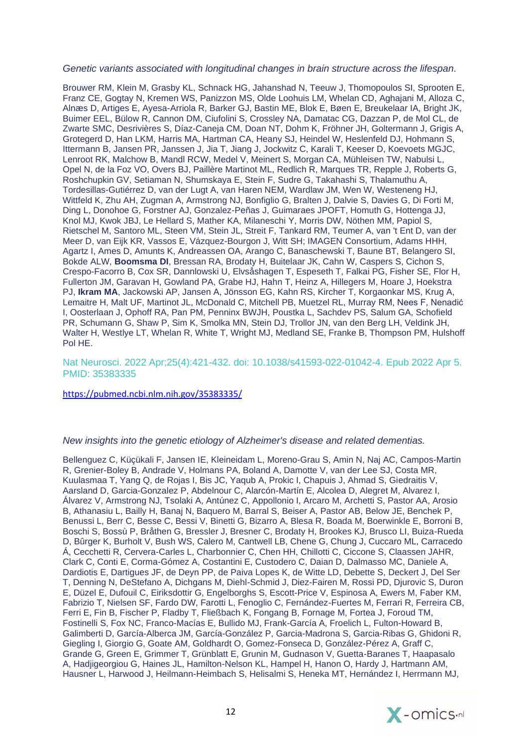#### *[Genetic variants associated with longitudinal changes in brain structure across the lifespan.](https://pubmed.ncbi.nlm.nih.gov/35383335/)*

Brouwer RM, Klein M, Grasby KL, Schnack HG, Jahanshad N, Teeuw J, Thomopoulos SI, Sprooten E, Franz CE, Gogtay N, Kremen WS, Panizzon MS, Olde Loohuis LM, Whelan CD, Aghajani M, Alloza C, Alnæs D, Artiges E, Ayesa-Arriola R, Barker GJ, Bastin ME, Blok E, Bøen E, Breukelaar IA, Bright JK, Buimer EEL, Bülow R, Cannon DM, Ciufolini S, Crossley NA, Damatac CG, Dazzan P, de Mol CL, de Zwarte SMC, Desrivières S, Díaz-Caneja CM, Doan NT, Dohm K, Fröhner JH, Goltermann J, Grigis A, Grotegerd D, Han LKM, Harris MA, Hartman CA, Heany SJ, Heindel W, Heslenfeld DJ, Hohmann S, Ittermann B, Jansen PR, Janssen J, Jia T, Jiang J, Jockwitz C, Karali T, Keeser D, Koevoets MGJC, Lenroot RK, Malchow B, Mandl RCW, Medel V, Meinert S, Morgan CA, Mühleisen TW, Nabulsi L, Opel N, de la Foz VO, Overs BJ, Paillère Martinot ML, Redlich R, Marques TR, Repple J, Roberts G, Roshchupkin GV, Setiaman N, Shumskaya E, Stein F, Sudre G, Takahashi S, Thalamuthu A, Tordesillas-Gutiérrez D, van der Lugt A, van Haren NEM, Wardlaw JM, Wen W, Westeneng HJ, Wittfeld K, Zhu AH, Zugman A, Armstrong NJ, Bonfiglio G, Bralten J, Dalvie S, Davies G, Di Forti M, Ding L, Donohoe G, Forstner AJ, Gonzalez-Peñas J, Guimaraes JPOFT, Homuth G, Hottenga JJ, Knol MJ, Kwok JBJ, Le Hellard S, Mather KA, Milaneschi Y, Morris DW, Nöthen MM, Papiol S, Rietschel M, Santoro ML, Steen VM, Stein JL, Streit F, Tankard RM, Teumer A, van 't Ent D, van der Meer D, van Eijk KR, Vassos E, Vázquez-Bourgon J, Witt SH; IMAGEN Consortium, Adams HHH, Agartz I, Ames D, Amunts K, Andreassen OA, Arango C, Banaschewski T, Baune BT, Belangero SI, Bokde ALW, **Boomsma DI**, Bressan RA, Brodaty H, Buitelaar JK, Cahn W, Caspers S, Cichon S, Crespo-Facorro B, Cox SR, Dannlowski U, Elvsåshagen T, Espeseth T, Falkai PG, Fisher SE, Flor H, Fullerton JM, Garavan H, Gowland PA, Grabe HJ, Hahn T, Heinz A, Hillegers M, Hoare J, Hoekstra PJ, **Ikram MA**, Jackowski AP, Jansen A, Jönsson EG, Kahn RS, Kircher T, Korgaonkar MS, Krug A, Lemaitre H, Malt UF, Martinot JL, McDonald C, Mitchell PB, Muetzel RL, Murray RM, Nees F, Nenadić I, Oosterlaan J, Ophoff RA, Pan PM, Penninx BWJH, Poustka L, Sachdev PS, Salum GA, Schofield PR, Schumann G, Shaw P, Sim K, Smolka MN, Stein DJ, Trollor JN, van den Berg LH, Veldink JH, Walter H, Westlye LT, Whelan R, White T, Wright MJ, Medland SE, Franke B, Thompson PM, Hulshoff Pol HE.

#### Nat Neurosci. 2022 Apr;25(4):421-432. doi: 10.1038/s41593-022-01042-4. Epub 2022 Apr 5. PMID: 35383335

<https://pubmed.ncbi.nlm.nih.gov/35383335/>

#### *[New insights into the genetic etiology of Alzheimer's disease and related dementias.](https://pubmed.ncbi.nlm.nih.gov/35379992/)*

Bellenguez C, Küçükali F, Jansen IE, Kleineidam L, Moreno-Grau S, Amin N, Naj AC, Campos-Martin R, Grenier-Boley B, Andrade V, Holmans PA, Boland A, Damotte V, van der Lee SJ, Costa MR, Kuulasmaa T, Yang Q, de Rojas I, Bis JC, Yaqub A, Prokic I, Chapuis J, Ahmad S, Giedraitis V, Aarsland D, Garcia-Gonzalez P, Abdelnour C, Alarcón-Martín E, Alcolea D, Alegret M, Alvarez I, Álvarez V, Armstrong NJ, Tsolaki A, Antúnez C, Appollonio I, Arcaro M, Archetti S, Pastor AA, Arosio B, Athanasiu L, Bailly H, Banaj N, Baquero M, Barral S, Beiser A, Pastor AB, Below JE, Benchek P, Benussi L, Berr C, Besse C, Bessi V, Binetti G, Bizarro A, Blesa R, Boada M, Boerwinkle E, Borroni B, Boschi S, Bossù P, Bråthen G, Bressler J, Bresner C, Brodaty H, Brookes KJ, Brusco LI, Buiza-Rueda D, Bûrger K, Burholt V, Bush WS, Calero M, Cantwell LB, Chene G, Chung J, Cuccaro ML, Carracedo Á, Cecchetti R, Cervera-Carles L, Charbonnier C, Chen HH, Chillotti C, Ciccone S, Claassen JAHR, Clark C, Conti E, Corma-Gómez A, Costantini E, Custodero C, Daian D, Dalmasso MC, Daniele A, Dardiotis E, Dartigues JF, de Deyn PP, de Paiva Lopes K, de Witte LD, Debette S, Deckert J, Del Ser T, Denning N, DeStefano A, Dichgans M, Diehl-Schmid J, Diez-Fairen M, Rossi PD, Djurovic S, Duron E, Düzel E, Dufouil C, Eiriksdottir G, Engelborghs S, Escott-Price V, Espinosa A, Ewers M, Faber KM, Fabrizio T, Nielsen SF, Fardo DW, Farotti L, Fenoglio C, Fernández-Fuertes M, Ferrari R, Ferreira CB, Ferri E, Fin B, Fischer P, Fladby T, Fließbach K, Fongang B, Fornage M, Fortea J, Foroud TM, Fostinelli S, Fox NC, Franco-Macías E, Bullido MJ, Frank-García A, Froelich L, Fulton-Howard B, Galimberti D, García-Alberca JM, García-González P, Garcia-Madrona S, Garcia-Ribas G, Ghidoni R, Giegling I, Giorgio G, Goate AM, Goldhardt O, Gomez-Fonseca D, González-Pérez A, Graff C, Grande G, Green E, Grimmer T, Grünblatt E, Grunin M, Gudnason V, Guetta-Baranes T, Haapasalo A, Hadjigeorgiou G, Haines JL, Hamilton-Nelson KL, Hampel H, Hanon O, Hardy J, Hartmann AM, Hausner L, Harwood J, Heilmann-Heimbach S, Helisalmi S, Heneka MT, Hernández I, Herrmann MJ,

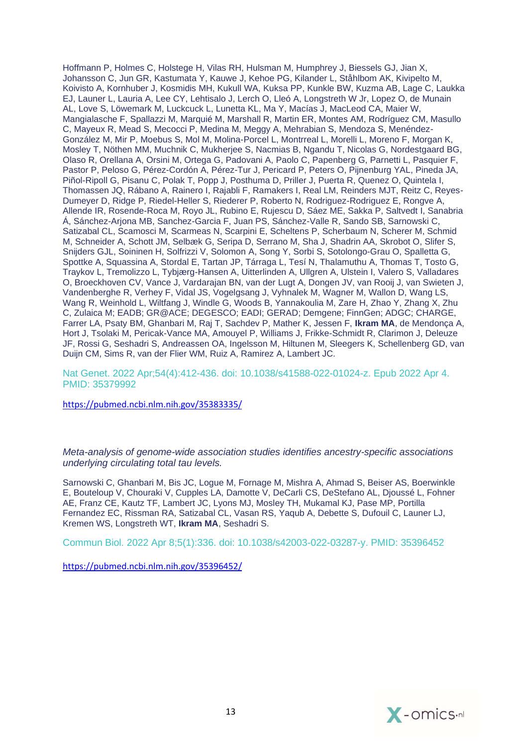Hoffmann P, Holmes C, Holstege H, Vilas RH, Hulsman M, Humphrey J, Biessels GJ, Jian X, Johansson C, Jun GR, Kastumata Y, Kauwe J, Kehoe PG, Kilander L, Ståhlbom AK, Kivipelto M, Koivisto A, Kornhuber J, Kosmidis MH, Kukull WA, Kuksa PP, Kunkle BW, Kuzma AB, Lage C, Laukka EJ, Launer L, Lauria A, Lee CY, Lehtisalo J, Lerch O, Lleó A, Longstreth W Jr, Lopez O, de Munain AL, Love S, Löwemark M, Luckcuck L, Lunetta KL, Ma Y, Macías J, MacLeod CA, Maier W, Mangialasche F, Spallazzi M, Marquié M, Marshall R, Martin ER, Montes AM, Rodríguez CM, Masullo C, Mayeux R, Mead S, Mecocci P, Medina M, Meggy A, Mehrabian S, Mendoza S, Menéndez-González M, Mir P, Moebus S, Mol M, Molina-Porcel L, Montrreal L, Morelli L, Moreno F, Morgan K, Mosley T, Nöthen MM, Muchnik C, Mukherjee S, Nacmias B, Ngandu T, Nicolas G, Nordestgaard BG, Olaso R, Orellana A, Orsini M, Ortega G, Padovani A, Paolo C, Papenberg G, Parnetti L, Pasquier F, Pastor P, Peloso G, Pérez-Cordón A, Pérez-Tur J, Pericard P, Peters O, Pijnenburg YAL, Pineda JA, Piñol-Ripoll G, Pisanu C, Polak T, Popp J, Posthuma D, Priller J, Puerta R, Quenez O, Quintela I, Thomassen JQ, Rábano A, Rainero I, Rajabli F, Ramakers I, Real LM, Reinders MJT, Reitz C, Reyes-Dumeyer D, Ridge P, Riedel-Heller S, Riederer P, Roberto N, Rodriguez-Rodriguez E, Rongve A, Allende IR, Rosende-Roca M, Royo JL, Rubino E, Rujescu D, Sáez ME, Sakka P, Saltvedt I, Sanabria Á, Sánchez-Arjona MB, Sanchez-Garcia F, Juan PS, Sánchez-Valle R, Sando SB, Sarnowski C, Satizabal CL, Scamosci M, Scarmeas N, Scarpini E, Scheltens P, Scherbaum N, Scherer M, Schmid M, Schneider A, Schott JM, Selbæk G, Seripa D, Serrano M, Sha J, Shadrin AA, Skrobot O, Slifer S, Snijders GJL, Soininen H, Solfrizzi V, Solomon A, Song Y, Sorbi S, Sotolongo-Grau O, Spalletta G, Spottke A, Squassina A, Stordal E, Tartan JP, Tárraga L, Tesí N, Thalamuthu A, Thomas T, Tosto G, Traykov L, Tremolizzo L, Tybjærg-Hansen A, Uitterlinden A, Ullgren A, Ulstein I, Valero S, Valladares O, Broeckhoven CV, Vance J, Vardarajan BN, van der Lugt A, Dongen JV, van Rooij J, van Swieten J, Vandenberghe R, Verhey F, Vidal JS, Vogelgsang J, Vyhnalek M, Wagner M, Wallon D, Wang LS, Wang R, Weinhold L, Wiltfang J, Windle G, Woods B, Yannakoulia M, Zare H, Zhao Y, Zhang X, Zhu C, Zulaica M; EADB; GR@ACE; DEGESCO; EADI; GERAD; Demgene; FinnGen; ADGC; CHARGE, Farrer LA, Psaty BM, Ghanbari M, Raj T, Sachdev P, Mather K, Jessen F, **Ikram MA**, de Mendonça A, Hort J, Tsolaki M, Pericak-Vance MA, Amouyel P, Williams J, Frikke-Schmidt R, Clarimon J, Deleuze JF, Rossi G, Seshadri S, Andreassen OA, Ingelsson M, Hiltunen M, Sleegers K, Schellenberg GD, van Duijn CM, Sims R, van der Flier WM, Ruiz A, Ramirez A, Lambert JC.

Nat Genet. 2022 Apr;54(4):412-436. doi: 10.1038/s41588-022-01024-z. Epub 2022 Apr 4. PMID: 35379992

<https://pubmed.ncbi.nlm.nih.gov/35383335/>

*[Meta-analysis of genome-wide association studies identifies ancestry-specific associations](https://pubmed.ncbi.nlm.nih.gov/35396452/)  [underlying circulating total tau levels.](https://pubmed.ncbi.nlm.nih.gov/35396452/)*

Sarnowski C, Ghanbari M, Bis JC, Logue M, Fornage M, Mishra A, Ahmad S, Beiser AS, Boerwinkle E, Bouteloup V, Chouraki V, Cupples LA, Damotte V, DeCarli CS, DeStefano AL, Djoussé L, Fohner AE, Franz CE, Kautz TF, Lambert JC, Lyons MJ, Mosley TH, Mukamal KJ, Pase MP, Portilla Fernandez EC, Rissman RA, Satizabal CL, Vasan RS, Yaqub A, Debette S, Dufouil C, Launer LJ, Kremen WS, Longstreth WT, **Ikram MA**, Seshadri S.

Commun Biol. 2022 Apr 8;5(1):336. doi: 10.1038/s42003-022-03287-y. PMID: 35396452

<https://pubmed.ncbi.nlm.nih.gov/35396452/>

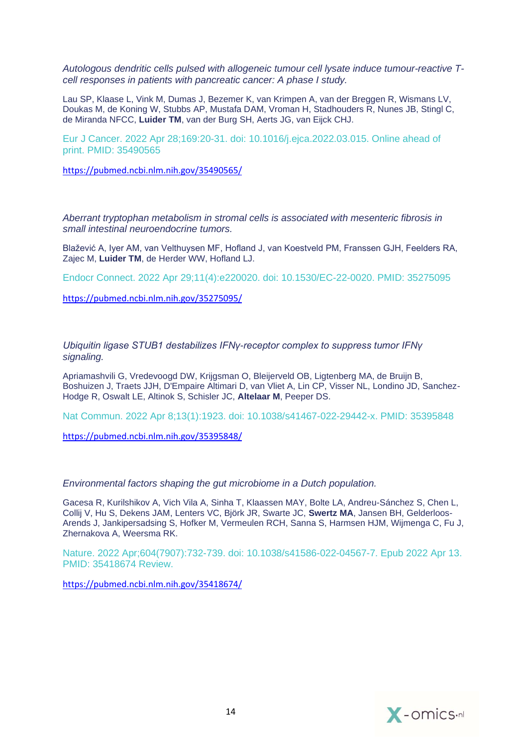*[Autologous dendritic cells pulsed with allogeneic tumour cell lysate induce tumour-reactive T](https://pubmed.ncbi.nlm.nih.gov/35490565/)[cell responses in patients with pancreatic cancer: A phase I study.](https://pubmed.ncbi.nlm.nih.gov/35490565/)*

Lau SP, Klaase L, Vink M, Dumas J, Bezemer K, van Krimpen A, van der Breggen R, Wismans LV, Doukas M, de Koning W, Stubbs AP, Mustafa DAM, Vroman H, Stadhouders R, Nunes JB, Stingl C, de Miranda NFCC, **Luider TM**, van der Burg SH, Aerts JG, van Eijck CHJ.

Eur J Cancer. 2022 Apr 28;169:20-31. doi: 10.1016/j.ejca.2022.03.015. Online ahead of print. PMID: 35490565

<https://pubmed.ncbi.nlm.nih.gov/35490565/>

*[Aberrant tryptophan metabolism in stromal cells is associated with mesenteric fibrosis in](https://pubmed.ncbi.nlm.nih.gov/35275095/)  [small intestinal neuroendocrine tumors.](https://pubmed.ncbi.nlm.nih.gov/35275095/)*

Blažević A, Iyer AM, van Velthuysen MF, Hofland J, van Koestveld PM, Franssen GJH, Feelders RA, Zajec M, **Luider TM**, de Herder WW, Hofland LJ.

Endocr Connect. 2022 Apr 29;11(4):e220020. doi: 10.1530/EC-22-0020. PMID: 35275095

<https://pubmed.ncbi.nlm.nih.gov/35275095/>

*[Ubiquitin ligase STUB1 destabilizes IFNγ-receptor complex to suppress tumor IFNγ](https://pubmed.ncbi.nlm.nih.gov/35395848/)  [signaling.](https://pubmed.ncbi.nlm.nih.gov/35395848/)*

Apriamashvili G, Vredevoogd DW, Krijgsman O, Bleijerveld OB, Ligtenberg MA, de Bruijn B, Boshuizen J, Traets JJH, D'Empaire Altimari D, van Vliet A, Lin CP, Visser NL, Londino JD, Sanchez-Hodge R, Oswalt LE, Altinok S, Schisler JC, **Altelaar M**, Peeper DS.

Nat Commun. 2022 Apr 8;13(1):1923. doi: 10.1038/s41467-022-29442-x. PMID: 35395848

<https://pubmed.ncbi.nlm.nih.gov/35395848/>

#### *[Environmental factors shaping the gut microbiome in a Dutch population.](https://pubmed.ncbi.nlm.nih.gov/35418674/)*

Gacesa R, Kurilshikov A, Vich Vila A, Sinha T, Klaassen MAY, Bolte LA, Andreu-Sánchez S, Chen L, Collij V, Hu S, Dekens JAM, Lenters VC, Björk JR, Swarte JC, **Swertz MA**, Jansen BH, Gelderloos-Arends J, Jankipersadsing S, Hofker M, Vermeulen RCH, Sanna S, Harmsen HJM, Wijmenga C, Fu J, Zhernakova A, Weersma RK.

Nature. 2022 Apr;604(7907):732-739. doi: 10.1038/s41586-022-04567-7. Epub 2022 Apr 13. PMID: 35418674 Review.

<https://pubmed.ncbi.nlm.nih.gov/35418674/>

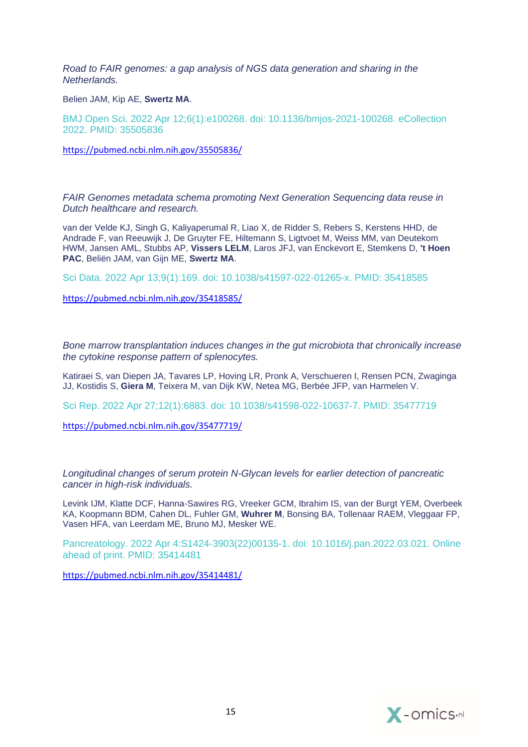*[Road to FAIR genomes: a gap analysis of NGS data generation and sharing in the](https://pubmed.ncbi.nlm.nih.gov/35505836/)  [Netherlands.](https://pubmed.ncbi.nlm.nih.gov/35505836/)*

Belien JAM, Kip AE, **Swertz MA**.

BMJ Open Sci. 2022 Apr 12;6(1):e100268. doi: 10.1136/bmjos-2021-100268. eCollection 2022. PMID: 35505836

<https://pubmed.ncbi.nlm.nih.gov/35505836/>

*[FAIR Genomes metadata schema promoting Next Generation Sequencing data reuse in](https://pubmed.ncbi.nlm.nih.gov/35418585/)  [Dutch healthcare and research.](https://pubmed.ncbi.nlm.nih.gov/35418585/)*

van der Velde KJ, Singh G, Kaliyaperumal R, Liao X, de Ridder S, Rebers S, Kerstens HHD, de Andrade F, van Reeuwijk J, De Gruyter FE, Hiltemann S, Ligtvoet M, Weiss MM, van Deutekom HWM, Jansen AML, Stubbs AP, **Vissers LELM**, Laros JFJ, van Enckevort E, Stemkens D, **'t Hoen PAC**, Beliën JAM, van Gijn ME, **Swertz MA**.

Sci Data. 2022 Apr 13;9(1):169. doi: 10.1038/s41597-022-01265-x. PMID: 35418585

<https://pubmed.ncbi.nlm.nih.gov/35418585/>

*[Bone marrow transplantation induces changes in the gut microbiota that chronically increase](https://pubmed.ncbi.nlm.nih.gov/35477719/)  the cytokine response [pattern of splenocytes.](https://pubmed.ncbi.nlm.nih.gov/35477719/)*

Katiraei S, van Diepen JA, Tavares LP, Hoving LR, Pronk A, Verschueren I, Rensen PCN, Zwaginga JJ, Kostidis S, **Giera M**, Teixera M, van Dijk KW, Netea MG, Berbée JFP, van Harmelen V.

Sci Rep. 2022 Apr 27;12(1):6883. doi: 10.1038/s41598-022-10637-7. PMID: 35477719

<https://pubmed.ncbi.nlm.nih.gov/35477719/>

*[Longitudinal changes of serum protein N-Glycan levels for earlier detection of pancreatic](https://pubmed.ncbi.nlm.nih.gov/35414481/)  [cancer in high-risk individuals.](https://pubmed.ncbi.nlm.nih.gov/35414481/)*

Levink IJM, Klatte DCF, Hanna-Sawires RG, Vreeker GCM, Ibrahim IS, van der Burgt YEM, Overbeek KA, Koopmann BDM, Cahen DL, Fuhler GM, **Wuhrer M**, Bonsing BA, Tollenaar RAEM, Vleggaar FP, Vasen HFA, van Leerdam ME, Bruno MJ, Mesker WE.

Pancreatology. 2022 Apr 4:S1424-3903(22)00135-1. doi: 10.1016/j.pan.2022.03.021. Online ahead of print. PMID: 35414481

<https://pubmed.ncbi.nlm.nih.gov/35414481/>

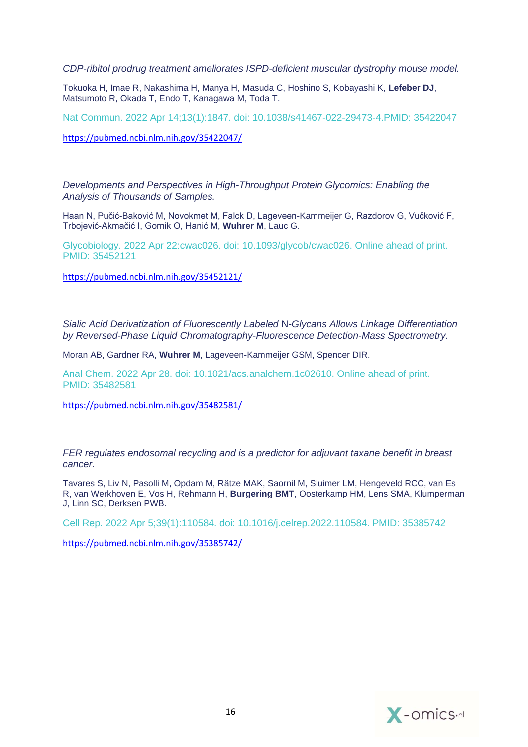*[CDP-ribitol prodrug treatment ameliorates ISPD-deficient muscular dystrophy mouse model.](https://pubmed.ncbi.nlm.nih.gov/35422047/)*

Tokuoka H, Imae R, Nakashima H, Manya H, Masuda C, Hoshino S, Kobayashi K, **Lefeber DJ**, Matsumoto R, Okada T, Endo T, Kanagawa M, Toda T.

Nat Commun. 2022 Apr 14;13(1):1847. doi: 10.1038/s41467-022-29473-4.PMID: 35422047

<https://pubmed.ncbi.nlm.nih.gov/35422047/>

*[Developments and Perspectives in High-Throughput Protein Glycomics: Enabling the](https://pubmed.ncbi.nlm.nih.gov/35452121/)  [Analysis of Thousands of Samples.](https://pubmed.ncbi.nlm.nih.gov/35452121/)*

Haan N, Pučić-Baković M, Novokmet M, Falck D, Lageveen-Kammeijer G, Razdorov G, Vučković F, Trbojević-Akmačić I, Gornik O, Hanić M, **Wuhrer M**, Lauc G.

Glycobiology. 2022 Apr 22:cwac026. doi: 10.1093/glycob/cwac026. Online ahead of print. PMID: 35452121

<https://pubmed.ncbi.nlm.nih.gov/35452121/>

*[Sialic Acid Derivatization of Fluorescently Labeled](https://pubmed.ncbi.nlm.nih.gov/35482581/)* N*-Glycans Allows Linkage Differentiation [by Reversed-Phase Liquid Chromatography-Fluorescence Detection-Mass Spectrometry.](https://pubmed.ncbi.nlm.nih.gov/35482581/)*

Moran AB, Gardner RA, **Wuhrer M**, Lageveen-Kammeijer GSM, Spencer DIR.

Anal Chem. 2022 Apr 28. doi: 10.1021/acs.analchem.1c02610. Online ahead of print. PMID: 35482581

<https://pubmed.ncbi.nlm.nih.gov/35482581/>

*[FER regulates endosomal recycling and is a predictor for adjuvant taxane benefit in breast](https://pubmed.ncbi.nlm.nih.gov/35385742/)  [cancer.](https://pubmed.ncbi.nlm.nih.gov/35385742/)*

Tavares S, Liv N, Pasolli M, Opdam M, Rätze MAK, Saornil M, Sluimer LM, Hengeveld RCC, van Es R, van Werkhoven E, Vos H, Rehmann H, **Burgering BMT**, Oosterkamp HM, Lens SMA, Klumperman J, Linn SC, Derksen PWB.

Cell Rep. 2022 Apr 5;39(1):110584. doi: 10.1016/j.celrep.2022.110584. PMID: 35385742

<https://pubmed.ncbi.nlm.nih.gov/35385742/>

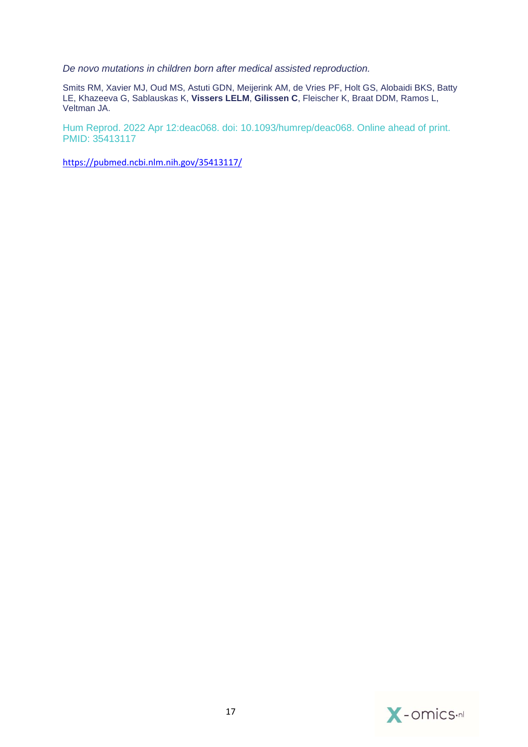*[De novo mutations in children born after medical assisted reproduction.](https://pubmed.ncbi.nlm.nih.gov/35413117/)*

Smits RM, Xavier MJ, Oud MS, Astuti GDN, Meijerink AM, de Vries PF, Holt GS, Alobaidi BKS, Batty LE, Khazeeva G, Sablauskas K, **Vissers LELM**, **Gilissen C**, Fleischer K, Braat DDM, Ramos L, Veltman JA.

Hum Reprod. 2022 Apr 12:deac068. doi: 10.1093/humrep/deac068. Online ahead of print. PMID: 35413117

<https://pubmed.ncbi.nlm.nih.gov/35413117/>

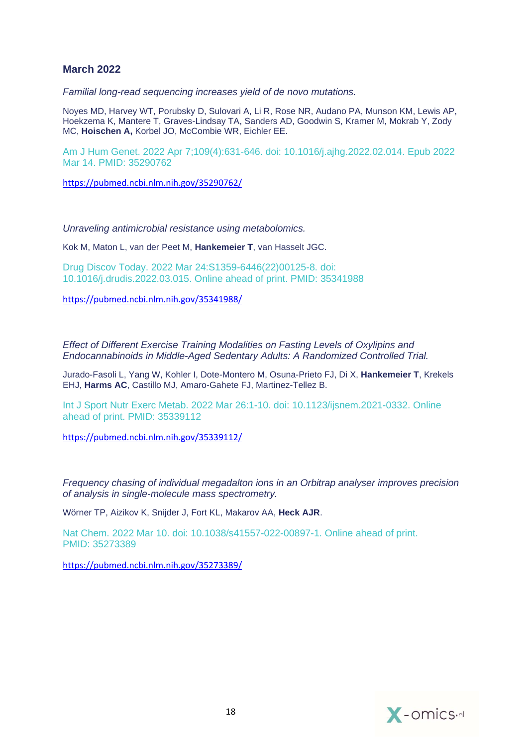## **March 2022**

*[Familial long-read sequencing increases yield of de novo mutations.](https://pubmed.ncbi.nlm.nih.gov/35290762/)*

Noyes MD, Harvey WT, Porubsky D, Sulovari A, Li R, Rose NR, Audano PA, Munson KM, Lewis AP, Hoekzema K, Mantere T, Graves-Lindsay TA, Sanders AD, Goodwin S, Kramer M, Mokrab Y, Zody MC, **Hoischen A,** Korbel JO, McCombie WR, Eichler EE.

Am J Hum Genet. 2022 Apr 7;109(4):631-646. doi: 10.1016/j.ajhg.2022.02.014. Epub 2022 Mar 14. PMID: 35290762

<https://pubmed.ncbi.nlm.nih.gov/35290762/>

*[Unraveling antimicrobial resistance using metabolomics.](https://pubmed.ncbi.nlm.nih.gov/35341988/)*

Kok M, Maton L, van der Peet M, **Hankemeier T**, van Hasselt JGC.

Drug Discov Today. 2022 Mar 24:S1359-6446(22)00125-8. doi: 10.1016/j.drudis.2022.03.015. Online ahead of print. PMID: 35341988

<https://pubmed.ncbi.nlm.nih.gov/35341988/>

*[Effect of Different Exercise Training Modalities on Fasting Levels of Oxylipins and](https://pubmed.ncbi.nlm.nih.gov/35339112/)  [Endocannabinoids in Middle-Aged Sedentary Adults: A Randomized Controlled Trial.](https://pubmed.ncbi.nlm.nih.gov/35339112/)*

Jurado-Fasoli L, Yang W, Kohler I, Dote-Montero M, Osuna-Prieto FJ, Di X, **Hankemeier T**, Krekels EHJ, **Harms AC**, Castillo MJ, Amaro-Gahete FJ, Martinez-Tellez B.

Int J Sport Nutr Exerc Metab. 2022 Mar 26:1-10. doi: 10.1123/ijsnem.2021-0332. Online ahead of print. PMID: 35339112

<https://pubmed.ncbi.nlm.nih.gov/35339112/>

*[Frequency chasing of individual megadalton ions in an Orbitrap analyser improves precision](https://pubmed.ncbi.nlm.nih.gov/35273389/)  [of analysis in single-molecule mass spectrometry.](https://pubmed.ncbi.nlm.nih.gov/35273389/)*

Wörner TP, Aizikov K, Snijder J, Fort KL, Makarov AA, **Heck AJR**.

Nat Chem. 2022 Mar 10. doi: 10.1038/s41557-022-00897-1. Online ahead of print. PMID: 35273389

<https://pubmed.ncbi.nlm.nih.gov/35273389/>

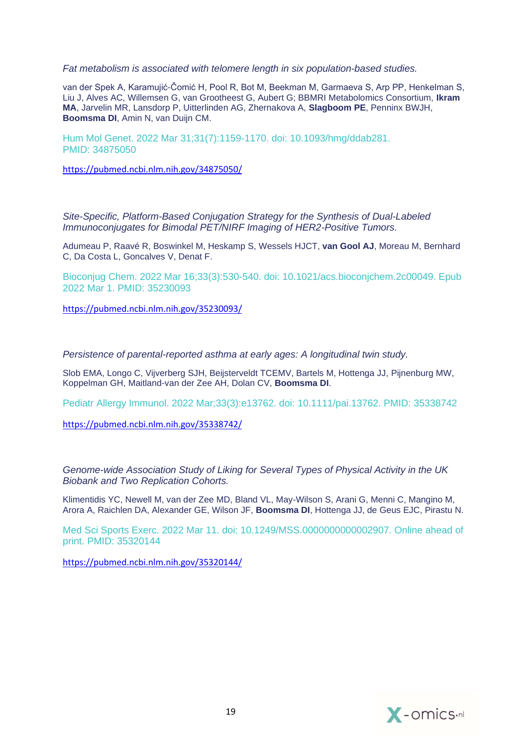*[Fat metabolism is associated with telomere length in six population-based studies.](https://pubmed.ncbi.nlm.nih.gov/34875050/)*

van der Spek A, Karamujić-Čomić H, Pool R, Bot M, Beekman M, Garmaeva S, Arp PP, Henkelman S, Liu J, Alves AC, Willemsen G, van Grootheest G, Aubert G; BBMRI Metabolomics Consortium, **Ikram MA**, Jarvelin MR, Lansdorp P, Uitterlinden AG, Zhernakova A, **Slagboom PE**, Penninx BWJH, **Boomsma DI**, Amin N, van Duijn CM.

Hum Mol Genet. 2022 Mar 31;31(7):1159-1170. doi: 10.1093/hmg/ddab281. PMID: 34875050

<https://pubmed.ncbi.nlm.nih.gov/34875050/>

*[Site-Specific, Platform-Based Conjugation Strategy for the Synthesis of Dual-Labeled](https://pubmed.ncbi.nlm.nih.gov/35230093/)  [Immunoconjugates for Bimodal PET/NIRF Imaging of HER2-Positive Tumors.](https://pubmed.ncbi.nlm.nih.gov/35230093/)*

Adumeau P, Raavé R, Boswinkel M, Heskamp S, Wessels HJCT, **van Gool AJ**, Moreau M, Bernhard C, Da Costa L, Goncalves V, Denat F.

Bioconjug Chem. 2022 Mar 16;33(3):530-540. doi: 10.1021/acs.bioconjchem.2c00049. Epub 2022 Mar 1. PMID: 35230093

<https://pubmed.ncbi.nlm.nih.gov/35230093/>

*[Persistence of parental-reported asthma at early ages: A](https://pubmed.ncbi.nlm.nih.gov/35338742/) longitudinal twin study.*

Slob EMA, Longo C, Vijverberg SJH, Beijsterveldt TCEMV, Bartels M, Hottenga JJ, Pijnenburg MW, Koppelman GH, Maitland-van der Zee AH, Dolan CV, **Boomsma DI**.

Pediatr Allergy Immunol. 2022 Mar;33(3):e13762. doi: 10.1111/pai.13762. PMID: 35338742

<https://pubmed.ncbi.nlm.nih.gov/35338742/>

*[Genome-wide Association Study of Liking for Several Types of Physical Activity in the UK](https://pubmed.ncbi.nlm.nih.gov/35320144/)  [Biobank and Two Replication Cohorts.](https://pubmed.ncbi.nlm.nih.gov/35320144/)*

Klimentidis YC, Newell M, van der Zee MD, Bland VL, May-Wilson S, Arani G, Menni C, Mangino M, Arora A, Raichlen DA, Alexander GE, Wilson JF, **Boomsma DI**, Hottenga JJ, de Geus EJC, Pirastu N.

Med Sci Sports Exerc. 2022 Mar 11. doi: 10.1249/MSS.0000000000002907. Online ahead of print. PMID: 35320144

<https://pubmed.ncbi.nlm.nih.gov/35320144/>

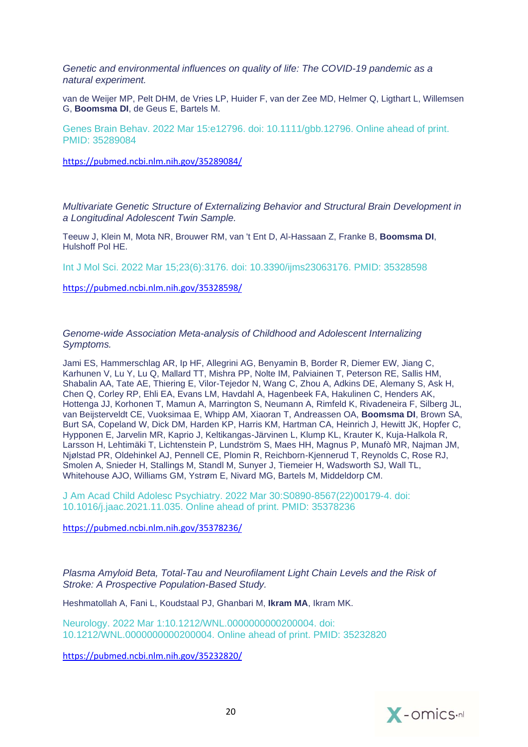*[Genetic and environmental influences on quality of life: The COVID-19 pandemic as a](https://pubmed.ncbi.nlm.nih.gov/35289084/)  [natural experiment.](https://pubmed.ncbi.nlm.nih.gov/35289084/)*

van de Weijer MP, Pelt DHM, de Vries LP, Huider F, van der Zee MD, Helmer Q, Ligthart L, Willemsen G, **Boomsma DI**, de Geus E, Bartels M.

Genes Brain Behav. 2022 Mar 15:e12796. doi: 10.1111/gbb.12796. Online ahead of print. PMID: 35289084

<https://pubmed.ncbi.nlm.nih.gov/35289084/>

*[Multivariate Genetic Structure of Externalizing Behavior and Structural Brain Development in](https://pubmed.ncbi.nlm.nih.gov/35328598/)  [a Longitudinal Adolescent Twin Sample.](https://pubmed.ncbi.nlm.nih.gov/35328598/)*

Teeuw J, Klein M, Mota NR, Brouwer RM, van 't Ent D, Al-Hassaan Z, Franke B, **Boomsma DI**, Hulshoff Pol HE.

Int J Mol Sci. 2022 Mar 15;23(6):3176. doi: 10.3390/ijms23063176. PMID: 35328598

<https://pubmed.ncbi.nlm.nih.gov/35328598/>

*[Genome-wide Association Meta-analysis of Childhood and Adolescent Internalizing](https://pubmed.ncbi.nlm.nih.gov/35378236/)  [Symptoms.](https://pubmed.ncbi.nlm.nih.gov/35378236/)*

Jami ES, Hammerschlag AR, Ip HF, Allegrini AG, Benyamin B, Border R, Diemer EW, Jiang C, Karhunen V, Lu Y, Lu Q, Mallard TT, Mishra PP, Nolte IM, Palviainen T, Peterson RE, Sallis HM, Shabalin AA, Tate AE, Thiering E, Vilor-Tejedor N, Wang C, Zhou A, Adkins DE, Alemany S, Ask H, Chen Q, Corley RP, Ehli EA, Evans LM, Havdahl A, Hagenbeek FA, Hakulinen C, Henders AK, Hottenga JJ, Korhonen T, Mamun A, Marrington S, Neumann A, Rimfeld K, Rivadeneira F, Silberg JL, van Beijsterveldt CE, Vuoksimaa E, Whipp AM, Xiaoran T, Andreassen OA, **Boomsma DI**, Brown SA, Burt SA, Copeland W, Dick DM, Harden KP, Harris KM, Hartman CA, Heinrich J, Hewitt JK, Hopfer C, Hypponen E, Jarvelin MR, Kaprio J, Keltikangas-Järvinen L, Klump KL, Krauter K, Kuja-Halkola R, Larsson H, Lehtimäki T, Lichtenstein P, Lundström S, Maes HH, Magnus P, Munafò MR, Najman JM, Njølstad PR, Oldehinkel AJ, Pennell CE, Plomin R, Reichborn-Kjennerud T, Reynolds C, Rose RJ, Smolen A, Snieder H, Stallings M, Standl M, Sunyer J, Tiemeier H, Wadsworth SJ, Wall TL, Whitehouse AJO, Williams GM, Ystrøm E, Nivard MG, Bartels M, Middeldorp CM.

J Am Acad Child Adolesc Psychiatry. 2022 Mar 30:S0890-8567(22)00179-4. doi: 10.1016/j.jaac.2021.11.035. Online ahead of print. PMID: 35378236

<https://pubmed.ncbi.nlm.nih.gov/35378236/>

*Plasma Amyloid Beta, Total-Tau and Neurofilament Light Chain Levels and the Risk of Stroke: A Prospective Population-Based Study.*

Heshmatollah A, Fani L, Koudstaal PJ, Ghanbari M, **Ikram MA**, Ikram MK.

Neurology. 2022 Mar 1:10.1212/WNL.0000000000200004. doi: 10.1212/WNL.0000000000200004. Online ahead of print. PMID: 35232820

<https://pubmed.ncbi.nlm.nih.gov/35232820/>

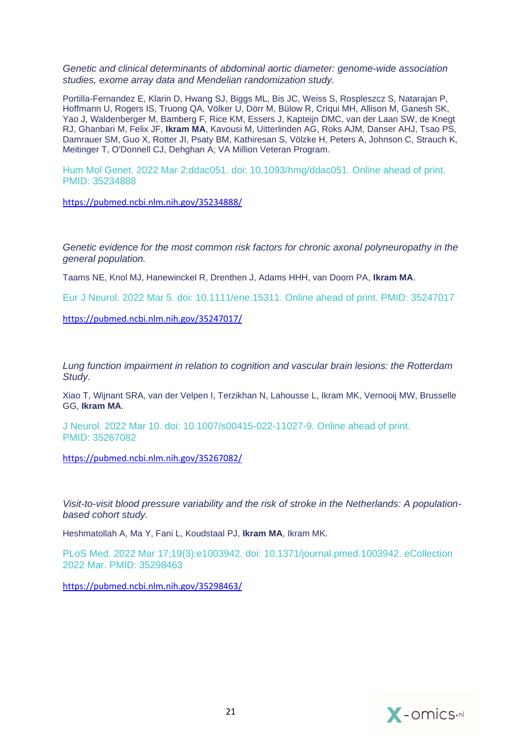*[Genetic and clinical determinants of abdominal aortic diameter: genome-wide association](https://pubmed.ncbi.nlm.nih.gov/35234888/)  [studies, exome array data and Mendelian randomization study.](https://pubmed.ncbi.nlm.nih.gov/35234888/)*

Portilla-Fernandez E, Klarin D, Hwang SJ, Biggs ML, Bis JC, Weiss S, Rospleszcz S, Natarajan P, Hoffmann U, Rogers IS, Truong QA, Völker U, Dörr M, Bülow R, Criqui MH, Allison M, Ganesh SK, Yao J, Waldenberger M, Bamberg F, Rice KM, Essers J, Kapteijn DMC, van der Laan SW, de Knegt RJ, Ghanbari M, Felix JF, **Ikram MA**, Kavousi M, Uitterlinden AG, Roks AJM, Danser AHJ, Tsao PS, Damrauer SM, Guo X, Rotter JI, Psaty BM, Kathiresan S, Völzke H, Peters A, Johnson C, Strauch K, Meitinger T, O'Donnell CJ, Dehghan A; VA Million Veteran Program.

Hum Mol Genet. 2022 Mar 2:ddac051. doi: 10.1093/hmg/ddac051. Online ahead of print. PMID: 35234888

<https://pubmed.ncbi.nlm.nih.gov/35234888/>

*[Genetic evidence for the most common risk factors for chronic axonal polyneuropathy in the](https://pubmed.ncbi.nlm.nih.gov/35247017/)  [general population.](https://pubmed.ncbi.nlm.nih.gov/35247017/)*

Taams NE, Knol MJ, Hanewinckel R, Drenthen J, Adams HHH, van Doorn PA, **Ikram MA**.

Eur J Neurol. 2022 Mar 5. doi: 10.1111/ene.15311. Online ahead of print. PMID: 35247017

<https://pubmed.ncbi.nlm.nih.gov/35247017/>

*[Lung function impairment in relation to cognition and vascular brain lesions: the Rotterdam](https://pubmed.ncbi.nlm.nih.gov/35267082/)  [Study.](https://pubmed.ncbi.nlm.nih.gov/35267082/)*

Xiao T, Wijnant SRA, van der Velpen I, Terzikhan N, Lahousse L, Ikram MK, Vernooij MW, Brusselle GG, **Ikram MA**.

J Neurol. 2022 Mar 10. doi: 10.1007/s00415-022-11027-9. Online ahead of print. PMID: 35267082

<https://pubmed.ncbi.nlm.nih.gov/35267082/>

*[Visit-to-visit blood pressure variability and the risk of stroke in the Netherlands: A population](https://pubmed.ncbi.nlm.nih.gov/35298463/)[based cohort study.](https://pubmed.ncbi.nlm.nih.gov/35298463/)*

Heshmatollah A, Ma Y, Fani L, Koudstaal PJ, **Ikram MA**, Ikram MK.

PLoS Med. 2022 Mar 17;19(3):e1003942. doi: 10.1371/journal.pmed.1003942. eCollection 2022 Mar. PMID: 35298463

<https://pubmed.ncbi.nlm.nih.gov/35298463/>

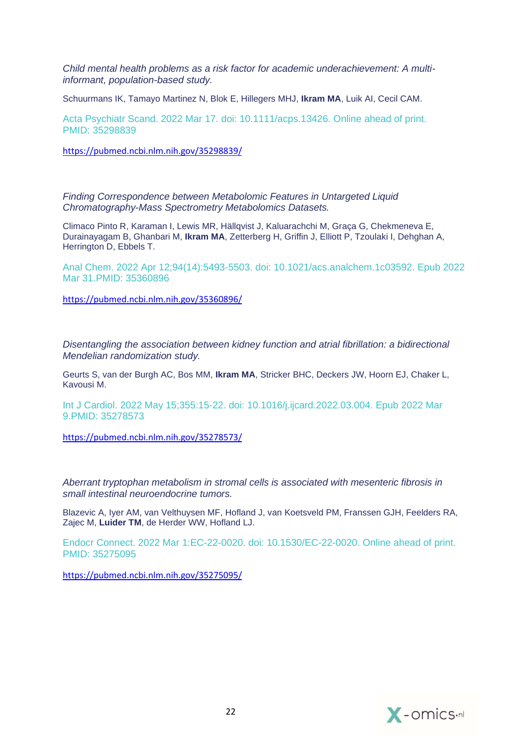*[Child mental health problems as a risk factor for academic underachievement: A multi](https://pubmed.ncbi.nlm.nih.gov/35298839/)[informant, population-based study.](https://pubmed.ncbi.nlm.nih.gov/35298839/)*

Schuurmans IK, Tamayo Martinez N, Blok E, Hillegers MHJ, **Ikram MA**, Luik AI, Cecil CAM.

Acta Psychiatr Scand. 2022 Mar 17. doi: 10.1111/acps.13426. Online ahead of print. PMID: 35298839

<https://pubmed.ncbi.nlm.nih.gov/35298839/>

*[Finding Correspondence between Metabolomic Features in Untargeted Liquid](https://pubmed.ncbi.nlm.nih.gov/35360896/)  [Chromatography-Mass Spectrometry Metabolomics Datasets.](https://pubmed.ncbi.nlm.nih.gov/35360896/)*

Climaco Pinto R, Karaman I, Lewis MR, Hällqvist J, Kaluarachchi M, Graça G, Chekmeneva E, Durainayagam B, Ghanbari M, **Ikram MA**, Zetterberg H, Griffin J, Elliott P, Tzoulaki I, Dehghan A, Herrington D, Ebbels T.

Anal Chem. 2022 Apr 12;94(14):5493-5503. doi: 10.1021/acs.analchem.1c03592. Epub 2022 Mar 31.PMID: 35360896

<https://pubmed.ncbi.nlm.nih.gov/35360896/>

*[Disentangling the association between kidney function and atrial fibrillation: a bidirectional](https://pubmed.ncbi.nlm.nih.gov/35278573/)  [Mendelian randomization study.](https://pubmed.ncbi.nlm.nih.gov/35278573/)*

Geurts S, van der Burgh AC, Bos MM, **Ikram MA**, Stricker BHC, Deckers JW, Hoorn EJ, Chaker L, Kavousi M.

Int J Cardiol. 2022 May 15;355:15-22. doi: 10.1016/j.ijcard.2022.03.004. Epub 2022 Mar 9.PMID: 35278573

<https://pubmed.ncbi.nlm.nih.gov/35278573/>

*[Aberrant tryptophan metabolism in stromal cells is associated with mesenteric fibrosis in](https://pubmed.ncbi.nlm.nih.gov/35275095/)  [small intestinal neuroendocrine tumors.](https://pubmed.ncbi.nlm.nih.gov/35275095/)*

Blazevic A, Iyer AM, van Velthuysen MF, Hofland J, van Koetsveld PM, Franssen GJH, Feelders RA, Zajec M, **Luider TM**, de Herder WW, Hofland LJ.

Endocr Connect. 2022 Mar 1:EC-22-0020. doi: 10.1530/EC-22-0020. Online ahead of print. PMID: 35275095

<https://pubmed.ncbi.nlm.nih.gov/35275095/>

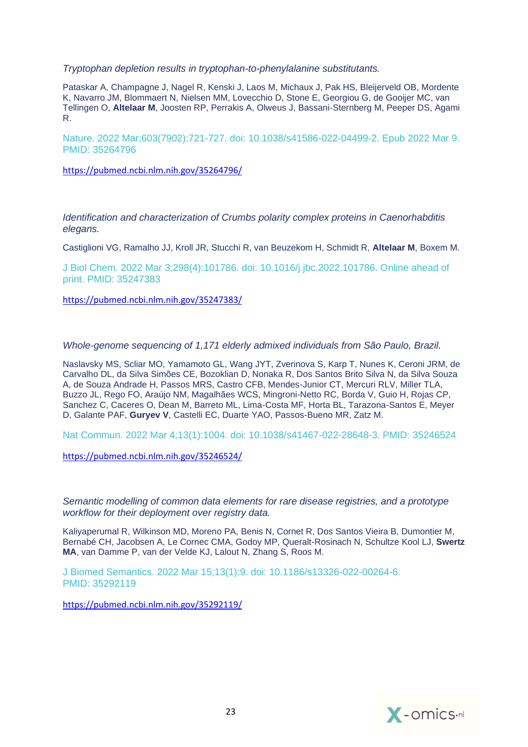*[Tryptophan depletion results in tryptophan-to-phenylalanine substitutants.](https://pubmed.ncbi.nlm.nih.gov/35264796/)*

Pataskar A, Champagne J, Nagel R, Kenski J, Laos M, Michaux J, Pak HS, Bleijerveld OB, Mordente K, Navarro JM, Blommaert N, Nielsen MM, Lovecchio D, Stone E, Georgiou G, de Gooijer MC, van Tellingen O, **Altelaar M**, Joosten RP, Perrakis A, Olweus J, Bassani-Sternberg M, Peeper DS, Agami R.

Nature. 2022 Mar;603(7902):721-727. doi: 10.1038/s41586-022-04499-2. Epub 2022 Mar 9. PMID: 35264796

<https://pubmed.ncbi.nlm.nih.gov/35264796/>

*[Identification and characterization of Crumbs polarity complex proteins in Caenorhabditis](https://pubmed.ncbi.nlm.nih.gov/35247383/)  [elegans.](https://pubmed.ncbi.nlm.nih.gov/35247383/)*

Castiglioni VG, Ramalho JJ, Kroll JR, Stucchi R, van Beuzekom H, Schmidt R, **Altelaar M**, Boxem M.

J Biol Chem. 2022 Mar 3;298(4):101786. doi: 10.1016/j.jbc.2022.101786. Online ahead of print. PMID: 35247383

<https://pubmed.ncbi.nlm.nih.gov/35247383/>

*[Whole-genome sequencing of 1,171 elderly admixed individuals from São Paulo, Brazil.](https://pubmed.ncbi.nlm.nih.gov/35246524/)*

Naslavsky MS, Scliar MO, Yamamoto GL, Wang JYT, Zverinova S, Karp T, Nunes K, Ceroni JRM, de Carvalho DL, da Silva Simões CE, Bozoklian D, Nonaka R, Dos Santos Brito Silva N, da Silva Souza A, de Souza Andrade H, Passos MRS, Castro CFB, Mendes-Junior CT, Mercuri RLV, Miller TLA, Buzzo JL, Rego FO, Araújo NM, Magalhães WCS, Mingroni-Netto RC, Borda V, Guio H, Rojas CP, Sanchez C, Caceres O, Dean M, Barreto ML, Lima-Costa MF, Horta BL, Tarazona-Santos E, Meyer D, Galante PAF, **Guryev V**, Castelli EC, Duarte YAO, Passos-Bueno MR, Zatz M.

Nat Commun. 2022 Mar 4;13(1):1004. doi: 10.1038/s41467-022-28648-3. PMID: 35246524

<https://pubmed.ncbi.nlm.nih.gov/35246524/>

*[Semantic modelling of common data elements for rare disease registries, and a prototype](https://pubmed.ncbi.nlm.nih.gov/35292119/)  [workflow for their deployment over registry data.](https://pubmed.ncbi.nlm.nih.gov/35292119/)*

Kaliyaperumal R, Wilkinson MD, Moreno PA, Benis N, Cornet R, Dos Santos Vieira B, Dumontier M, Bernabé CH, Jacobsen A, Le Cornec CMA, Godoy MP, Queralt-Rosinach N, Schultze Kool LJ, **Swertz MA**, van Damme P, van der Velde KJ, Lalout N, Zhang S, Roos M.

J Biomed Semantics. 2022 Mar 15;13(1):9. doi: 10.1186/s13326-022-00264-6. PMID: 35292119

<https://pubmed.ncbi.nlm.nih.gov/35292119/>

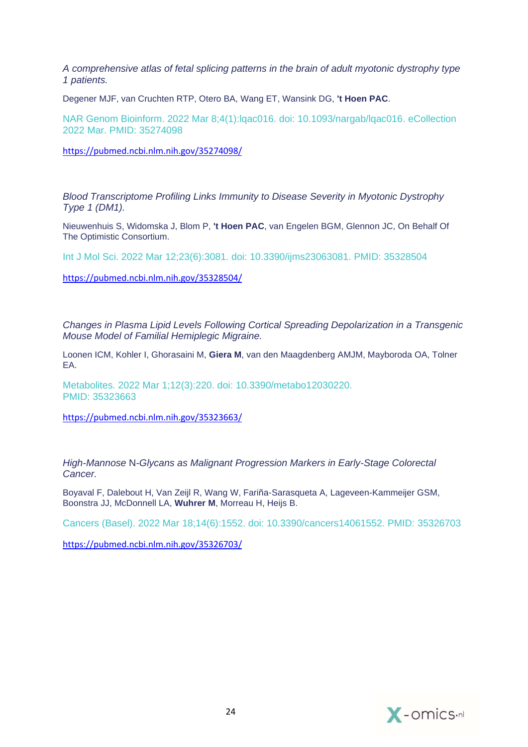*[A comprehensive atlas of fetal splicing patterns in the brain of adult myotonic dystrophy type](https://pubmed.ncbi.nlm.nih.gov/35274098/)  [1 patients.](https://pubmed.ncbi.nlm.nih.gov/35274098/)*

Degener MJF, van Cruchten RTP, Otero BA, Wang ET, Wansink DG, **'t Hoen PAC**.

NAR Genom Bioinform. 2022 Mar 8;4(1):lqac016. doi: 10.1093/nargab/lqac016. eCollection 2022 Mar. PMID: 35274098

<https://pubmed.ncbi.nlm.nih.gov/35274098/>

*[Blood Transcriptome Profiling Links Immunity to Disease Severity in Myotonic Dystrophy](https://pubmed.ncbi.nlm.nih.gov/35328504/)  [Type 1 \(DM1\).](https://pubmed.ncbi.nlm.nih.gov/35328504/)*

Nieuwenhuis S, Widomska J, Blom P, **'t Hoen PAC**, van Engelen BGM, Glennon JC, On Behalf Of The Optimistic Consortium.

Int J Mol Sci. 2022 Mar 12;23(6):3081. doi: 10.3390/ijms23063081. PMID: 35328504

<https://pubmed.ncbi.nlm.nih.gov/35328504/>

*[Changes in Plasma Lipid Levels Following Cortical Spreading Depolarization in a Transgenic](https://pubmed.ncbi.nlm.nih.gov/35323663/)  [Mouse Model of Familial Hemiplegic Migraine.](https://pubmed.ncbi.nlm.nih.gov/35323663/)*

Loonen ICM, Kohler I, Ghorasaini M, **Giera M**, van den Maagdenberg AMJM, Mayboroda OA, Tolner EA.

Metabolites. 2022 Mar 1;12(3):220. doi: 10.3390/metabo12030220. PMID: 35323663

<https://pubmed.ncbi.nlm.nih.gov/35323663/>

*High-Mannose* N*[-Glycans as Malignant Progression Markers in Early-Stage Colorectal](https://pubmed.ncbi.nlm.nih.gov/35326703/)  [Cancer.](https://pubmed.ncbi.nlm.nih.gov/35326703/)*

Boyaval F, Dalebout H, Van Zeijl R, Wang W, Fariña-Sarasqueta A, Lageveen-Kammeijer GSM, Boonstra JJ, McDonnell LA, **Wuhrer M**, Morreau H, Heijs B.

Cancers (Basel). 2022 Mar 18;14(6):1552. doi: 10.3390/cancers14061552. PMID: 35326703

<https://pubmed.ncbi.nlm.nih.gov/35326703/>

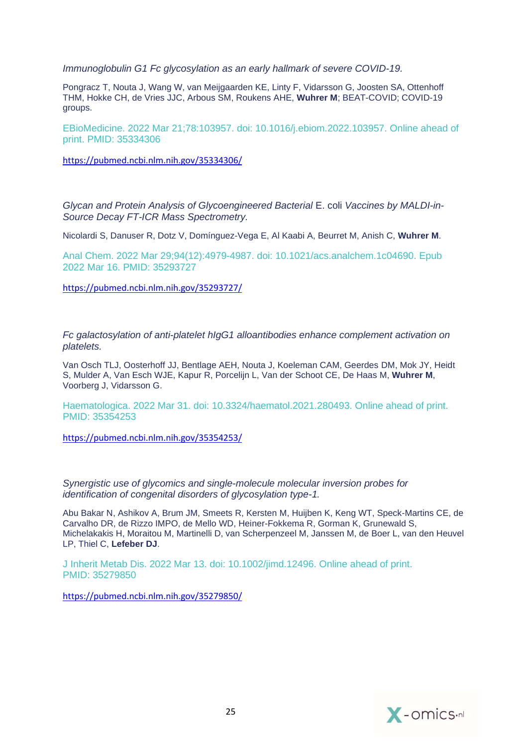*[Immunoglobulin G1 Fc glycosylation as an early hallmark of severe COVID-19.](https://pubmed.ncbi.nlm.nih.gov/35334306/)*

Pongracz T, Nouta J, Wang W, van Meijgaarden KE, Linty F, Vidarsson G, Joosten SA, Ottenhoff THM, Hokke CH, de Vries JJC, Arbous SM, Roukens AHE, **Wuhrer M**; BEAT-COVID; COVID-19 groups.

EBioMedicine. 2022 Mar 21;78:103957. doi: 10.1016/j.ebiom.2022.103957. Online ahead of print. PMID: 35334306

<https://pubmed.ncbi.nlm.nih.gov/35334306/>

*[Glycan and Protein Analysis of Glycoengineered Bacterial](https://pubmed.ncbi.nlm.nih.gov/35293727/)* E. coli *Vaccines by MALDI-in-[Source Decay FT-ICR Mass Spectrometry.](https://pubmed.ncbi.nlm.nih.gov/35293727/)*

Nicolardi S, Danuser R, Dotz V, Domínguez-Vega E, Al Kaabi A, Beurret M, Anish C, **Wuhrer M**.

Anal Chem. 2022 Mar 29;94(12):4979-4987. doi: 10.1021/acs.analchem.1c04690. Epub 2022 Mar 16. PMID: 35293727

<https://pubmed.ncbi.nlm.nih.gov/35293727/>

*[Fc galactosylation of anti-platelet hIgG1 alloantibodies enhance complement activation on](https://pubmed.ncbi.nlm.nih.gov/35354253/)  [platelets.](https://pubmed.ncbi.nlm.nih.gov/35354253/)*

Van Osch TLJ, Oosterhoff JJ, Bentlage AEH, Nouta J, Koeleman CAM, Geerdes DM, Mok JY, Heidt S, Mulder A, Van Esch WJE, Kapur R, Porcelijn L, Van der Schoot CE, De Haas M, **Wuhrer M**, Voorberg J, Vidarsson G.

Haematologica. 2022 Mar 31. doi: 10.3324/haematol.2021.280493. Online ahead of print. PMID: 35354253

<https://pubmed.ncbi.nlm.nih.gov/35354253/>

*Synergistic use of glycomics [and single-molecule molecular inversion probes for](https://pubmed.ncbi.nlm.nih.gov/35279850/)  [identification of congenital disorders of glycosylation type-1.](https://pubmed.ncbi.nlm.nih.gov/35279850/)*

Abu Bakar N, Ashikov A, Brum JM, Smeets R, Kersten M, Huijben K, Keng WT, Speck-Martins CE, de Carvalho DR, de Rizzo IMPO, de Mello WD, Heiner-Fokkema R, Gorman K, Grunewald S, Michelakakis H, Moraitou M, Martinelli D, van Scherpenzeel M, Janssen M, de Boer L, van den Heuvel LP, Thiel C, **Lefeber DJ**.

J Inherit Metab Dis. 2022 Mar 13. doi: 10.1002/jimd.12496. Online ahead of print. PMID: 35279850

<https://pubmed.ncbi.nlm.nih.gov/35279850/>

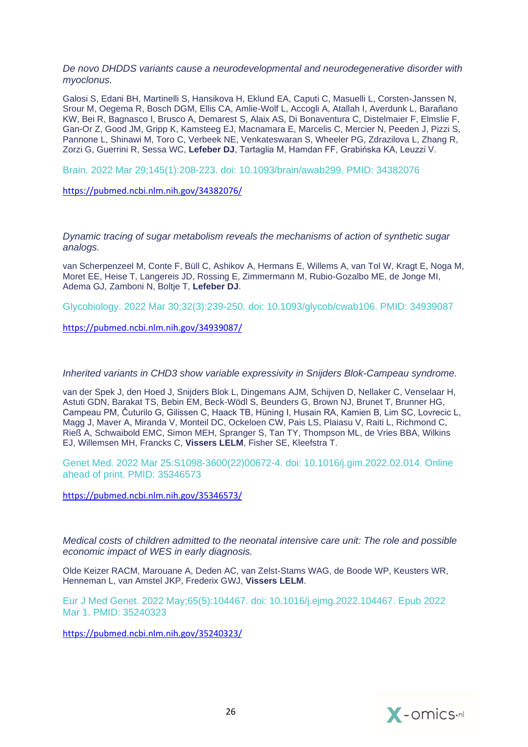*[De novo DHDDS variants cause a neurodevelopmental and neurodegenerative disorder with](https://pubmed.ncbi.nlm.nih.gov/34382076/)  [myoclonus.](https://pubmed.ncbi.nlm.nih.gov/34382076/)*

Galosi S, Edani BH, Martinelli S, Hansikova H, Eklund EA, Caputi C, Masuelli L, Corsten-Janssen N, Srour M, Oegema R, Bosch DGM, Ellis CA, Amlie-Wolf L, Accogli A, Atallah I, Averdunk L, Barañano KW, Bei R, Bagnasco I, Brusco A, Demarest S, Alaix AS, Di Bonaventura C, Distelmaier F, Elmslie F, Gan-Or Z, Good JM, Gripp K, Kamsteeg EJ, Macnamara E, Marcelis C, Mercier N, Peeden J, Pizzi S, Pannone L, Shinawi M, Toro C, Verbeek NE, Venkateswaran S, Wheeler PG, Zdrazilova L, Zhang R, Zorzi G, Guerrini R, Sessa WC, **Lefeber DJ**, Tartaglia M, Hamdan FF, Grabińska KA, Leuzzi V.

Brain. 2022 Mar 29;145(1):208-223. doi: 10.1093/brain/awab299. PMID: 34382076

<https://pubmed.ncbi.nlm.nih.gov/34382076/>

*[Dynamic tracing of sugar metabolism reveals the mechanisms of action of synthetic sugar](https://pubmed.ncbi.nlm.nih.gov/34939087/)  [analogs.](https://pubmed.ncbi.nlm.nih.gov/34939087/)*

van Scherpenzeel M, Conte F, Büll C, Ashikov A, Hermans E, Willems A, van Tol W, Kragt E, Noga M, Moret EE, Heise T, Langereis JD, Rossing E, Zimmermann M, Rubio-Gozalbo ME, de Jonge MI, Adema GJ, Zamboni N, Boltje T, **Lefeber DJ**.

Glycobiology. 2022 Mar 30;32(3):239-250. doi: 10.1093/glycob/cwab106. PMID: 34939087

<https://pubmed.ncbi.nlm.nih.gov/34939087/>

*[Inherited variants in CHD3 show variable expressivity in Snijders Blok-Campeau syndrome.](https://pubmed.ncbi.nlm.nih.gov/35346573/)*

van der Spek J, den Hoed J, Snijders Blok L, Dingemans AJM, Schijven D, Nellaker C, Venselaar H, Astuti GDN, Barakat TS, Bebin EM, Beck-Wödl S, Beunders G, Brown NJ, Brunet T, Brunner HG, Campeau PM, Čuturilo G, Gilissen C, Haack TB, Hüning I, Husain RA, Kamien B, Lim SC, Lovrecic L, Magg J, Maver A, Miranda V, Monteil DC, Ockeloen CW, Pais LS, Plaiasu V, Raiti L, Richmond C, Rieß A, Schwaibold EMC, Simon MEH, Spranger S, Tan TY, Thompson ML, de Vries BBA, Wilkins EJ, Willemsen MH, Francks C, **Vissers LELM**, Fisher SE, Kleefstra T.

Genet Med. 2022 Mar 25:S1098-3600(22)00672-4. doi: 10.1016/j.gim.2022.02.014. Online ahead of print. PMID: 35346573

<https://pubmed.ncbi.nlm.nih.gov/35346573/>

*[Medical costs of children admitted to the neonatal intensive care unit: The role and possible](https://pubmed.ncbi.nlm.nih.gov/35240323/)  [economic impact of WES in early diagnosis.](https://pubmed.ncbi.nlm.nih.gov/35240323/)*

Olde Keizer RACM, Marouane A, Deden AC, van Zelst-Stams WAG, de Boode WP, Keusters WR, Henneman L, van Amstel JKP, Frederix GWJ, **Vissers LELM**.

Eur J Med Genet. 2022 May;65(5):104467. doi: 10.1016/j.ejmg.2022.104467. Epub 2022 Mar 1. PMID: 35240323

<https://pubmed.ncbi.nlm.nih.gov/35240323/>

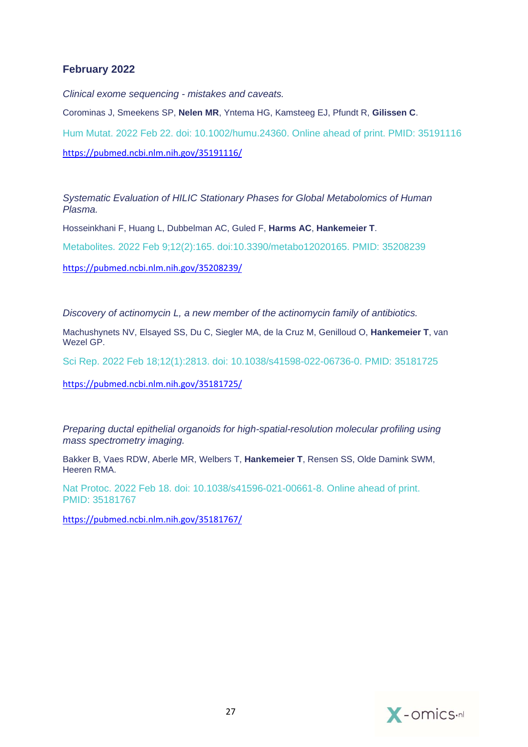# **February 2022**

*[Clinical exome sequencing -](https://pubmed.ncbi.nlm.nih.gov/35191116/) mistakes and caveats.*

Corominas J, Smeekens SP, **Nelen MR**, Yntema HG, Kamsteeg EJ, Pfundt R, **Gilissen C**. Hum Mutat. 2022 Feb 22. doi: 10.1002/humu.24360. Online ahead of print. PMID: 35191116 <https://pubmed.ncbi.nlm.nih.gov/35191116/>

*[Systematic Evaluation of HILIC Stationary Phases for Global Metabolomics of Human](https://pubmed.ncbi.nlm.nih.gov/35208239/)  [Plasma.](https://pubmed.ncbi.nlm.nih.gov/35208239/)*

Hosseinkhani F, Huang L, Dubbelman AC, Guled F, **Harms AC**, **Hankemeier T**.

Metabolites. 2022 Feb 9;12(2):165. doi:10.3390/metabo12020165. PMID: 35208239

<https://pubmed.ncbi.nlm.nih.gov/35208239/>

*[Discovery of actinomycin L, a new member of the actinomycin family of antibiotics.](https://pubmed.ncbi.nlm.nih.gov/35181725/)*

Machushynets NV, Elsayed SS, Du C, Siegler MA, de la Cruz M, Genilloud O, **Hankemeier T**, van Wezel GP.

Sci Rep. 2022 Feb 18;12(1):2813. doi: 10.1038/s41598-022-06736-0. PMID: 35181725

<https://pubmed.ncbi.nlm.nih.gov/35181725/>

*[Preparing ductal epithelial organoids for high-spatial-resolution molecular profiling using](https://pubmed.ncbi.nlm.nih.gov/35181767/)  [mass spectrometry imaging.](https://pubmed.ncbi.nlm.nih.gov/35181767/)*

Bakker B, Vaes RDW, Aberle MR, Welbers T, **Hankemeier T**, Rensen SS, Olde Damink SWM, Heeren RMA.

Nat Protoc. 2022 Feb 18. doi: 10.1038/s41596-021-00661-8. Online ahead of print. PMID: 35181767

<https://pubmed.ncbi.nlm.nih.gov/35181767/>

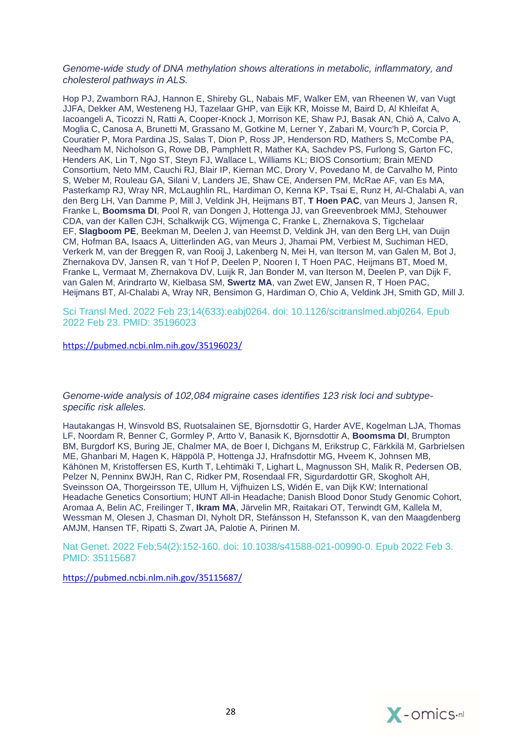### *[Genome-wide study of DNA methylation shows alterations in metabolic, inflammatory, and](https://pubmed.ncbi.nlm.nih.gov/35196023/)  [cholesterol pathways in ALS.](https://pubmed.ncbi.nlm.nih.gov/35196023/)*

Hop PJ, Zwamborn RAJ, Hannon E, Shireby GL, Nabais MF, Walker EM, van Rheenen W, van Vugt JJFA, Dekker AM, Westeneng HJ, Tazelaar GHP, van Eijk KR, Moisse M, Baird D, Al Khleifat A, Iacoangeli A, Ticozzi N, Ratti A, Cooper-Knock J, Morrison KE, Shaw PJ, Basak AN, Chiò A, Calvo A, Moglia C, Canosa A, Brunetti M, Grassano M, Gotkine M, Lerner Y, Zabari M, Vourc'h P, Corcia P, Couratier P, Mora Pardina JS, Salas T, Dion P, Ross JP, Henderson RD, Mathers S, McCombe PA, Needham M, Nicholson G, Rowe DB, Pamphlett R, Mather KA, Sachdev PS, Furlong S, Garton FC, Henders AK, Lin T, Ngo ST, Steyn FJ, Wallace L, Williams KL; BIOS Consortium; Brain MEND Consortium, Neto MM, Cauchi RJ, Blair IP, Kiernan MC, Drory V, Povedano M, de Carvalho M, Pinto S, Weber M, Rouleau GA, Silani V, Landers JE, Shaw CE, Andersen PM, McRae AF, van Es MA, Pasterkamp RJ, Wray NR, McLaughlin RL, Hardiman O, Kenna KP, Tsai E, Runz H, Al-Chalabi A, van den Berg LH, Van Damme P, Mill J, Veldink JH, Heijmans BT, **T Hoen PAC**, van Meurs J, Jansen R, Franke L, **Boomsma DI**, Pool R, van Dongen J, Hottenga JJ, van Greevenbroek MMJ, Stehouwer CDA, van der Kallen CJH, Schalkwijk CG, Wijmenga C, Franke L, Zhernakova S, Tigchelaar EF, **Slagboom PE**, Beekman M, Deelen J, van Heemst D, Veldink JH, van den Berg LH, van Duijn CM, Hofman BA, Isaacs A, Uitterlinden AG, van Meurs J, Jhamai PM, Verbiest M, Suchiman HED, Verkerk M, van der Breggen R, van Rooij J, Lakenberg N, Mei H, van Iterson M, van Galen M, Bot J, Zhernakova DV, Jansen R, van 't Hof P, Deelen P, Nooren I, T Hoen PAC, Heijmans BT, Moed M, Franke L, Vermaat M, Zhernakova DV, Luijk R, Jan Bonder M, van Iterson M, Deelen P, van Dijk F, van Galen M, Arindrarto W, Kielbasa SM, **Swertz MA**, van Zwet EW, Jansen R, T Hoen PAC, Heijmans BT, Al-Chalabi A, Wray NR, Bensimon G, Hardiman O, Chio A, Veldink JH, Smith GD, Mill J.

Sci Transl Med. 2022 Feb 23;14(633):eabj0264. doi: 10.1126/scitranslmed.abj0264. Epub 2022 Feb 23. PMID: 35196023

<https://pubmed.ncbi.nlm.nih.gov/35196023/>

*[Genome-wide analysis of 102,084 migraine cases identifies 123 risk loci and subtype](https://pubmed.ncbi.nlm.nih.gov/35115687/)[specific risk](https://pubmed.ncbi.nlm.nih.gov/35115687/) alleles.*

Hautakangas H, Winsvold BS, Ruotsalainen SE, Bjornsdottir G, Harder AVE, Kogelman LJA, Thomas LF, Noordam R, Benner C, Gormley P, Artto V, Banasik K, Bjornsdottir A, **Boomsma DI**, Brumpton BM, Burgdorf KS, Buring JE, Chalmer MA, de Boer I, Dichgans M, Erikstrup C, Färkkilä M, Garbrielsen ME, Ghanbari M, Hagen K, Häppölä P, Hottenga JJ, Hrafnsdottir MG, Hveem K, Johnsen MB, Kähönen M, Kristoffersen ES, Kurth T, Lehtimäki T, Lighart L, Magnusson SH, Malik R, Pedersen OB, Pelzer N, Penninx BWJH, Ran C, Ridker PM, Rosendaal FR, Sigurdardottir GR, Skogholt AH, Sveinsson OA, Thorgeirsson TE, Ullum H, Vijfhuizen LS, Widén E, van Dijk KW; International Headache Genetics Consortium; HUNT All-in Headache; Danish Blood Donor Study Genomic Cohort, Aromaa A, Belin AC, Freilinger T, **Ikram MA**, Järvelin MR, Raitakari OT, Terwindt GM, Kallela M, Wessman M, Olesen J, Chasman DI, Nyholt DR, Stefánsson H, Stefansson K, van den Maagdenberg AMJM, Hansen TF, Ripatti S, Zwart JA, Palotie A, Pirinen M.

Nat Genet. 2022 Feb;54(2):152-160. doi: 10.1038/s41588-021-00990-0. Epub 2022 Feb 3. PMID: 35115687

<https://pubmed.ncbi.nlm.nih.gov/35115687/>

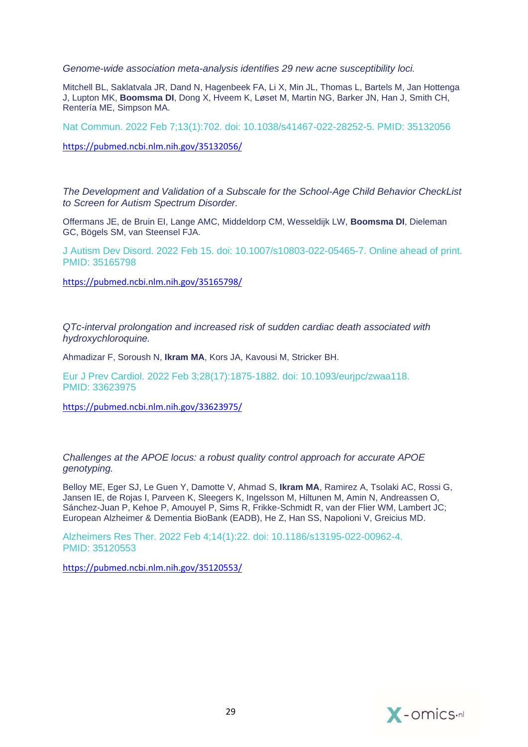*[Genome-wide association meta-analysis identifies 29 new acne susceptibility loci.](https://pubmed.ncbi.nlm.nih.gov/35132056/)*

Mitchell BL, Saklatvala JR, Dand N, Hagenbeek FA, Li X, Min JL, Thomas L, Bartels M, Jan Hottenga J, Lupton MK, **Boomsma DI**, Dong X, Hveem K, Løset M, Martin NG, Barker JN, Han J, Smith CH, Rentería ME, Simpson MA.

Nat Commun. 2022 Feb 7;13(1):702. doi: 10.1038/s41467-022-28252-5. PMID: 35132056

<https://pubmed.ncbi.nlm.nih.gov/35132056/>

*[The Development and Validation of a Subscale for the School-Age Child Behavior CheckList](https://pubmed.ncbi.nlm.nih.gov/35165798/)  [to Screen for Autism Spectrum Disorder.](https://pubmed.ncbi.nlm.nih.gov/35165798/)*

Offermans JE, de Bruin EI, Lange AMC, Middeldorp CM, Wesseldijk LW, **Boomsma DI**, Dieleman GC, Bögels SM, van Steensel FJA.

J Autism Dev Disord. 2022 Feb 15. doi: 10.1007/s10803-022-05465-7. Online ahead of print. PMID: 35165798

<https://pubmed.ncbi.nlm.nih.gov/35165798/>

*[QTc-interval prolongation and increased risk of sudden cardiac death associated with](https://pubmed.ncbi.nlm.nih.gov/33623975/)  [hydroxychloroquine.](https://pubmed.ncbi.nlm.nih.gov/33623975/)*

Ahmadizar F, Soroush N, **Ikram MA**, Kors JA, Kavousi M, Stricker BH.

Eur J Prev Cardiol. 2022 Feb 3;28(17):1875-1882. doi: 10.1093/eurjpc/zwaa118. PMID: 33623975

<https://pubmed.ncbi.nlm.nih.gov/33623975/>

*[Challenges at the APOE locus: a robust quality control approach for accurate APOE](https://pubmed.ncbi.nlm.nih.gov/35120553/)  [genotyping.](https://pubmed.ncbi.nlm.nih.gov/35120553/)*

Belloy ME, Eger SJ, Le Guen Y, Damotte V, Ahmad S, **Ikram MA**, Ramirez A, Tsolaki AC, Rossi G, Jansen IE, de Rojas I, Parveen K, Sleegers K, Ingelsson M, Hiltunen M, Amin N, Andreassen O, Sánchez-Juan P, Kehoe P, Amouyel P, Sims R, Frikke-Schmidt R, van der Flier WM, Lambert JC; European Alzheimer & Dementia BioBank (EADB), He Z, Han SS, Napolioni V, Greicius MD.

Alzheimers Res Ther. 2022 Feb 4;14(1):22. doi: 10.1186/s13195-022-00962-4. PMID: 35120553

<https://pubmed.ncbi.nlm.nih.gov/35120553/>

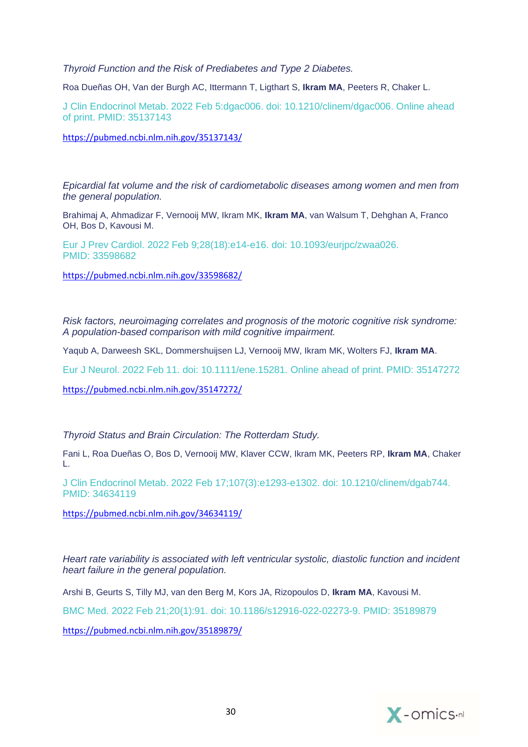*[Thyroid Function and the Risk of Prediabetes and Type 2 Diabetes.](https://pubmed.ncbi.nlm.nih.gov/35137143/)*

Roa Dueñas OH, Van der Burgh AC, Ittermann T, Ligthart S, **Ikram MA**, Peeters R, Chaker L.

J Clin Endocrinol Metab. 2022 Feb 5:dgac006. doi: 10.1210/clinem/dgac006. Online ahead of print. PMID: 35137143

<https://pubmed.ncbi.nlm.nih.gov/35137143/>

*[Epicardial fat volume and the risk of cardiometabolic diseases among women and men from](https://pubmed.ncbi.nlm.nih.gov/33598682/)  [the general population.](https://pubmed.ncbi.nlm.nih.gov/33598682/)*

Brahimaj A, Ahmadizar F, Vernooij MW, Ikram MK, **Ikram MA**, van Walsum T, Dehghan A, Franco OH, Bos D, Kavousi M.

Eur J Prev Cardiol. 2022 Feb 9;28(18):e14-e16. doi: 10.1093/eurjpc/zwaa026. PMID: 33598682

<https://pubmed.ncbi.nlm.nih.gov/33598682/>

*[Risk factors, neuroimaging correlates and prognosis of the motoric cognitive risk syndrome:](https://pubmed.ncbi.nlm.nih.gov/35147272/)  [A population-based comparison with mild cognitive impairment.](https://pubmed.ncbi.nlm.nih.gov/35147272/)*

Yaqub A, Darweesh SKL, Dommershuijsen LJ, Vernooij MW, Ikram MK, Wolters FJ, **Ikram MA**.

Eur J Neurol. 2022 Feb 11. doi: 10.1111/ene.15281. Online ahead of print. PMID: 35147272

<https://pubmed.ncbi.nlm.nih.gov/35147272/>

*[Thyroid Status and Brain Circulation: The Rotterdam Study.](https://pubmed.ncbi.nlm.nih.gov/34634119/)*

Fani L, Roa Dueñas O, Bos D, Vernooij MW, Klaver CCW, Ikram MK, Peeters RP, **Ikram MA**, Chaker L.

J Clin Endocrinol Metab. 2022 Feb 17;107(3):e1293-e1302. doi: 10.1210/clinem/dgab744. PMID: 34634119

<https://pubmed.ncbi.nlm.nih.gov/34634119/>

*[Heart rate variability is associated with left ventricular systolic, diastolic function and incident](https://pubmed.ncbi.nlm.nih.gov/35189879/)  [heart failure in the general population.](https://pubmed.ncbi.nlm.nih.gov/35189879/)*

Arshi B, Geurts S, Tilly MJ, van den Berg M, Kors JA, Rizopoulos D, **Ikram MA**, Kavousi M.

BMC Med. 2022 Feb 21;20(1):91. doi: 10.1186/s12916-022-02273-9. PMID: 35189879

<https://pubmed.ncbi.nlm.nih.gov/35189879/>

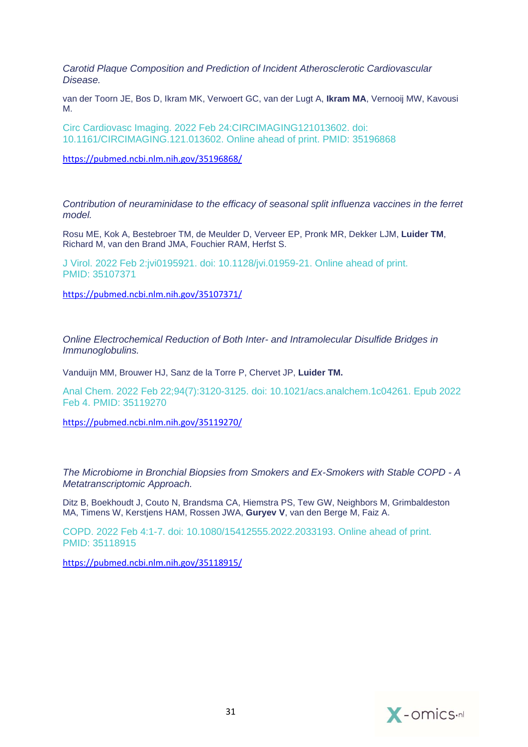*Carotid Plaque Composition and Prediction of Incident Atherosclerotic Cardiovascular Disease.*

van der Toorn JE, Bos D, Ikram MK, Verwoert GC, van der Lugt A, **Ikram MA**, Vernooij MW, Kavousi M.

Circ Cardiovasc Imaging. 2022 Feb 24:CIRCIMAGING121013602. doi: 10.1161/CIRCIMAGING.121.013602. Online ahead of print. PMID: 35196868

<https://pubmed.ncbi.nlm.nih.gov/35196868/>

*[Contribution of neuraminidase to the efficacy of seasonal split influenza vaccines in the ferret](https://pubmed.ncbi.nlm.nih.gov/35107371/)  [model.](https://pubmed.ncbi.nlm.nih.gov/35107371/)*

Rosu ME, Kok A, Bestebroer TM, de Meulder D, Verveer EP, Pronk MR, Dekker LJM, **Luider TM**, Richard M, van den Brand JMA, Fouchier RAM, Herfst S.

J Virol. 2022 Feb 2:jvi0195921. doi: 10.1128/jvi.01959-21. Online ahead of print. PMID: 35107371

<https://pubmed.ncbi.nlm.nih.gov/35107371/>

*Online Electrochemical Reduction of Both Inter- [and Intramolecular Disulfide Bridges in](https://pubmed.ncbi.nlm.nih.gov/35119270/)  [Immunoglobulins.](https://pubmed.ncbi.nlm.nih.gov/35119270/)*

Vanduijn MM, Brouwer HJ, Sanz de la Torre P, Chervet JP, **Luider TM.** 

Anal Chem. 2022 Feb 22;94(7):3120-3125. doi: 10.1021/acs.analchem.1c04261. Epub 2022 Feb 4. PMID: 35119270

<https://pubmed.ncbi.nlm.nih.gov/35119270/>

*[The Microbiome in Bronchial Biopsies from Smokers and Ex-Smokers with Stable COPD -](https://pubmed.ncbi.nlm.nih.gov/35118915/) A [Metatranscriptomic Approach.](https://pubmed.ncbi.nlm.nih.gov/35118915/)*

Ditz B, Boekhoudt J, Couto N, Brandsma CA, Hiemstra PS, Tew GW, Neighbors M, Grimbaldeston MA, Timens W, Kerstjens HAM, Rossen JWA, **Guryev V**, van den Berge M, Faiz A.

COPD. 2022 Feb 4:1-7. doi: 10.1080/15412555.2022.2033193. Online ahead of print. PMID: 35118915

<https://pubmed.ncbi.nlm.nih.gov/35118915/>

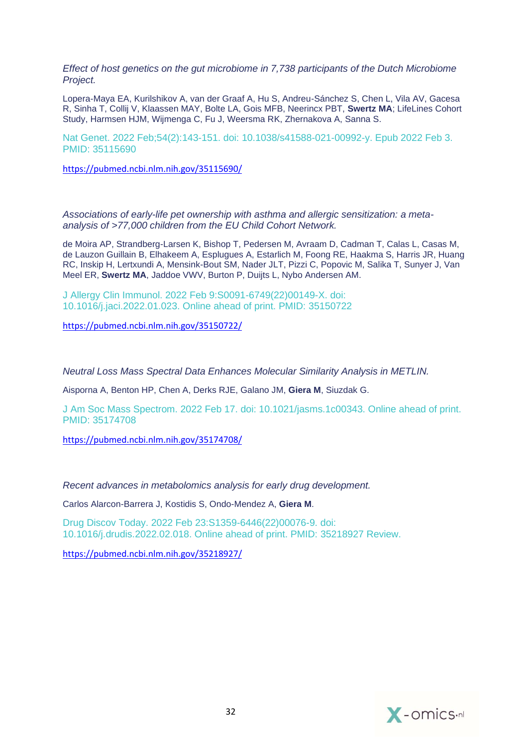*Effect of host genetics on the gut microbiome in 7,738 participants of the Dutch Microbiome Project.*

Lopera-Maya EA, Kurilshikov A, van der Graaf A, Hu S, Andreu-Sánchez S, Chen L, Vila AV, Gacesa R, Sinha T, Collij V, Klaassen MAY, Bolte LA, Gois MFB, Neerincx PBT, **Swertz MA**; LifeLines Cohort Study, Harmsen HJM, Wijmenga C, Fu J, Weersma RK, Zhernakova A, Sanna S.

Nat Genet. 2022 Feb;54(2):143-151. doi: 10.1038/s41588-021-00992-y. Epub 2022 Feb 3. PMID: 35115690

<https://pubmed.ncbi.nlm.nih.gov/35115690/>

*[Associations of early-life pet ownership with asthma and allergic sensitization: a meta](https://pubmed.ncbi.nlm.nih.gov/35150722/)[analysis of >77,000 children from the EU Child Cohort Network.](https://pubmed.ncbi.nlm.nih.gov/35150722/)*

de Moira AP, Strandberg-Larsen K, Bishop T, Pedersen M, Avraam D, Cadman T, Calas L, Casas M, de Lauzon Guillain B, Elhakeem A, Esplugues A, Estarlich M, Foong RE, Haakma S, Harris JR, Huang RC, Inskip H, Lertxundi A, Mensink-Bout SM, Nader JLT, Pizzi C, Popovic M, Salika T, Sunyer J, Van Meel ER, **Swertz MA**, Jaddoe VWV, Burton P, Duijts L, Nybo Andersen AM.

J Allergy Clin Immunol. 2022 Feb 9:S0091-6749(22)00149-X. doi: 10.1016/j.jaci.2022.01.023. Online ahead of print. PMID: 35150722

<https://pubmed.ncbi.nlm.nih.gov/35150722/>

*[Neutral Loss Mass Spectral Data Enhances Molecular Similarity Analysis in METLIN.](https://pubmed.ncbi.nlm.nih.gov/35174708/)*

Aisporna A, Benton HP, Chen A, Derks RJE, Galano JM, **Giera M**, Siuzdak G.

J Am Soc Mass Spectrom. 2022 Feb 17. doi: 10.1021/jasms.1c00343. Online ahead of print. PMID: 35174708

<https://pubmed.ncbi.nlm.nih.gov/35174708/>

*[Recent advances in metabolomics analysis for early drug development.](https://pubmed.ncbi.nlm.nih.gov/35218927/)*

Carlos Alarcon-Barrera J, Kostidis S, Ondo-Mendez A, **Giera M**.

Drug Discov Today. 2022 Feb 23:S1359-6446(22)00076-9. doi: 10.1016/j.drudis.2022.02.018. Online ahead of print. PMID: 35218927 Review.

<https://pubmed.ncbi.nlm.nih.gov/35218927/>

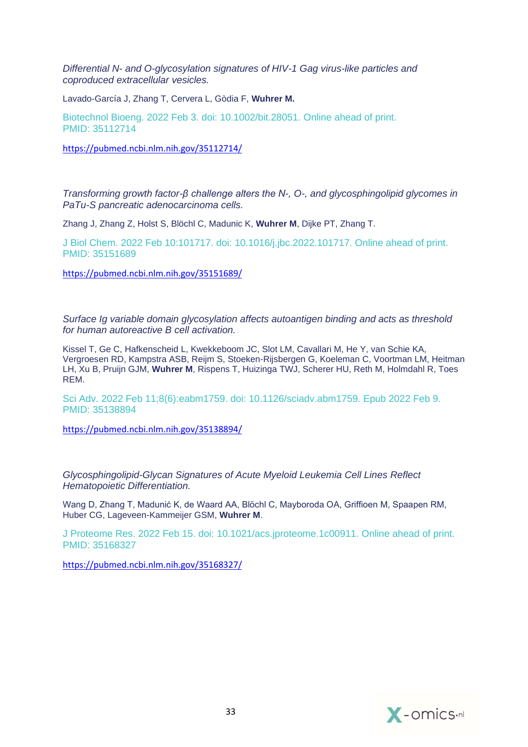*Differential N- [and O-glycosylation signatures of HIV-1 Gag virus-like particles and](https://pubmed.ncbi.nlm.nih.gov/35112714/)  [coproduced extracellular vesicles.](https://pubmed.ncbi.nlm.nih.gov/35112714/)*

Lavado-García J, Zhang T, Cervera L, Gòdia F, **Wuhrer M.**

Biotechnol Bioeng. 2022 Feb 3. doi: 10.1002/bit.28051. Online ahead of print. PMID: 35112714

<https://pubmed.ncbi.nlm.nih.gov/35112714/>

*[Transforming growth factor-β challenge alters the N-, O-, and glycosphingolipid glycomes in](https://pubmed.ncbi.nlm.nih.gov/35151689/)  [PaTu-S pancreatic adenocarcinoma cells.](https://pubmed.ncbi.nlm.nih.gov/35151689/)*

Zhang J, Zhang Z, Holst S, Blöchl C, Madunic K, **Wuhrer M**, Dijke PT, Zhang T.

J Biol Chem. 2022 Feb 10:101717. doi: 10.1016/j.jbc.2022.101717. Online ahead of print. PMID: 35151689

<https://pubmed.ncbi.nlm.nih.gov/35151689/>

*[Surface Ig variable domain glycosylation affects autoantigen binding and acts as threshold](https://pubmed.ncbi.nlm.nih.gov/35138894/)  [for human autoreactive B cell activation.](https://pubmed.ncbi.nlm.nih.gov/35138894/)*

Kissel T, Ge C, Hafkenscheid L, Kwekkeboom JC, Slot LM, Cavallari M, He Y, van Schie KA, Vergroesen RD, Kampstra ASB, Reijm S, Stoeken-Rijsbergen G, Koeleman C, Voortman LM, Heitman LH, Xu B, Pruijn GJM, **Wuhrer M**, Rispens T, Huizinga TWJ, Scherer HU, Reth M, Holmdahl R, Toes REM.

Sci Adv. 2022 Feb 11;8(6):eabm1759. doi: 10.1126/sciadv.abm1759. Epub 2022 Feb 9. PMID: 35138894

<https://pubmed.ncbi.nlm.nih.gov/35138894/>

*[Glycosphingolipid-Glycan Signatures of Acute Myeloid Leukemia Cell Lines Reflect](https://pubmed.ncbi.nlm.nih.gov/35168327/)  [Hematopoietic Differentiation.](https://pubmed.ncbi.nlm.nih.gov/35168327/)*

Wang D, Zhang T, Madunić K, de Waard AA, Blöchl C, Mayboroda OA, Griffioen M, Spaapen RM, Huber CG, Lageveen-Kammeijer GSM, **Wuhrer M**.

J Proteome Res. 2022 Feb 15. doi: 10.1021/acs.jproteome.1c00911. Online ahead of print. PMID: 35168327

<https://pubmed.ncbi.nlm.nih.gov/35168327/>

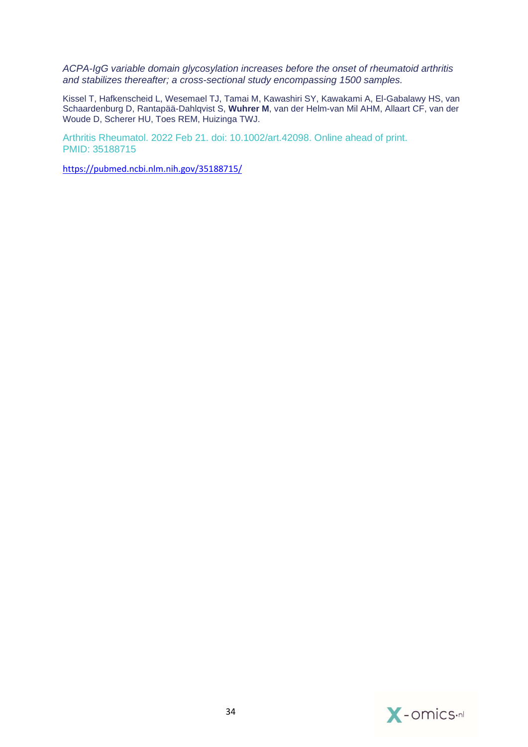*[ACPA-IgG variable domain glycosylation increases before the onset of rheumatoid arthritis](https://pubmed.ncbi.nlm.nih.gov/35188715/)  [and stabilizes thereafter; a cross-sectional study encompassing 1500 samples.](https://pubmed.ncbi.nlm.nih.gov/35188715/)*

Kissel T, Hafkenscheid L, Wesemael TJ, Tamai M, Kawashiri SY, Kawakami A, El-Gabalawy HS, van Schaardenburg D, Rantapää-Dahlqvist S, **Wuhrer M**, van der Helm-van Mil AHM, Allaart CF, van der Woude D, Scherer HU, Toes REM, Huizinga TWJ.

Arthritis Rheumatol. 2022 Feb 21. doi: 10.1002/art.42098. Online ahead of print. PMID: 35188715

<https://pubmed.ncbi.nlm.nih.gov/35188715/>

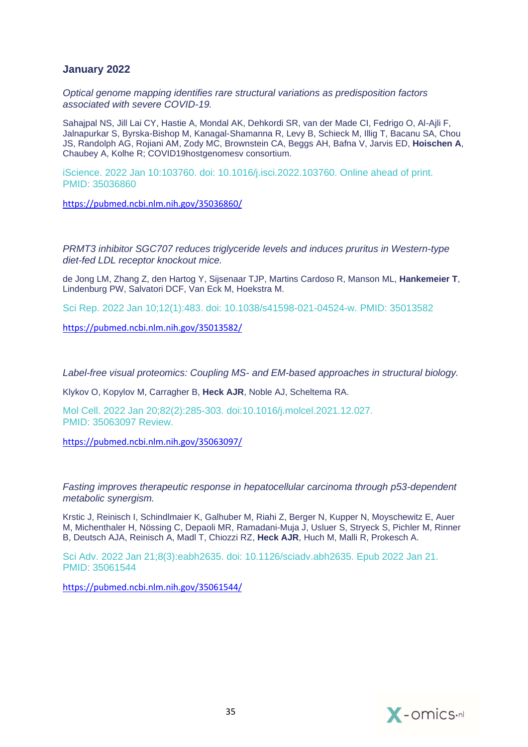## **January 2022**

*[Optical genome mapping identifies rare structural variations as predisposition factors](https://pubmed.ncbi.nlm.nih.gov/35036860/)  [associated with severe COVID-19.](https://pubmed.ncbi.nlm.nih.gov/35036860/)*

Sahajpal NS, Jill Lai CY, Hastie A, Mondal AK, Dehkordi SR, van der Made CI, Fedrigo O, Al-Ajli F, Jalnapurkar S, Byrska-Bishop M, Kanagal-Shamanna R, Levy B, Schieck M, Illig T, Bacanu SA, Chou JS, Randolph AG, Rojiani AM, Zody MC, Brownstein CA, Beggs AH, Bafna V, Jarvis ED, **Hoischen A**, Chaubey A, Kolhe R; COVID19hostgenomesv consortium.

iScience. 2022 Jan 10:103760. doi: 10.1016/j.isci.2022.103760. Online ahead of print. PMID: 35036860

<https://pubmed.ncbi.nlm.nih.gov/35036860/>

*[PRMT3 inhibitor SGC707 reduces triglyceride levels and induces pruritus in Western-type](https://pubmed.ncbi.nlm.nih.gov/35013582/)  [diet-fed LDL receptor knockout mice.](https://pubmed.ncbi.nlm.nih.gov/35013582/)*

de Jong LM, Zhang Z, den Hartog Y, Sijsenaar TJP, Martins Cardoso R, Manson ML, **Hankemeier T**, Lindenburg PW, Salvatori DCF, Van Eck M, Hoekstra M.

Sci Rep. 2022 Jan 10;12(1):483. doi: 10.1038/s41598-021-04524-w. PMID: 35013582

<https://pubmed.ncbi.nlm.nih.gov/35013582/>

*Label-free visual proteomics: Coupling MS- [and EM-based approaches in structural biology.](https://pubmed.ncbi.nlm.nih.gov/35063097/)*

Klykov O, Kopylov M, Carragher B, **Heck AJR**, Noble AJ, Scheltema RA.

Mol Cell. 2022 Jan 20;82(2):285-303. doi:10.1016/j.molcel.2021.12.027. PMID: 35063097 Review.

<https://pubmed.ncbi.nlm.nih.gov/35063097/>

*[Fasting improves therapeutic response in hepatocellular carcinoma through p53-dependent](https://pubmed.ncbi.nlm.nih.gov/35061544/)  metabolic [synergism.](https://pubmed.ncbi.nlm.nih.gov/35061544/)*

Krstic J, Reinisch I, Schindlmaier K, Galhuber M, Riahi Z, Berger N, Kupper N, Moyschewitz E, Auer M, Michenthaler H, Nössing C, Depaoli MR, Ramadani-Muja J, Usluer S, Stryeck S, Pichler M, Rinner B, Deutsch AJA, Reinisch A, Madl T, Chiozzi RZ, **Heck AJR**, Huch M, Malli R, Prokesch A.

Sci Adv. 2022 Jan 21;8(3):eabh2635. doi: 10.1126/sciadv.abh2635. Epub 2022 Jan 21. PMID: 35061544

<https://pubmed.ncbi.nlm.nih.gov/35061544/>

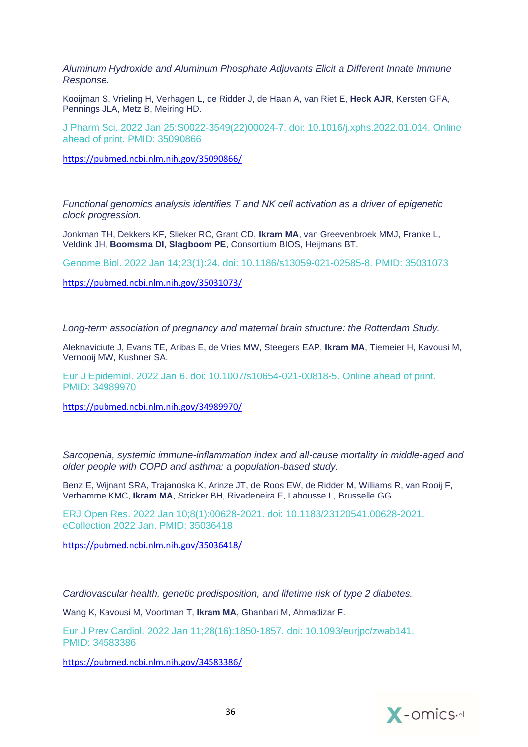*[Aluminum Hydroxide and Aluminum Phosphate Adjuvants Elicit a Different Innate Immune](https://pubmed.ncbi.nlm.nih.gov/35090866/)  [Response.](https://pubmed.ncbi.nlm.nih.gov/35090866/)*

Kooijman S, Vrieling H, Verhagen L, de Ridder J, de Haan A, van Riet E, **Heck AJR**, Kersten GFA, Pennings JLA, Metz B, Meiring HD.

J Pharm Sci. 2022 Jan 25:S0022-3549(22)00024-7. doi: 10.1016/j.xphs.2022.01.014. Online ahead of print. PMID: 35090866

<https://pubmed.ncbi.nlm.nih.gov/35090866/>

*[Functional genomics analysis identifies T and NK cell activation as a driver of epigenetic](https://pubmed.ncbi.nlm.nih.gov/35031073/)  [clock progression.](https://pubmed.ncbi.nlm.nih.gov/35031073/)*

Jonkman TH, Dekkers KF, Slieker RC, Grant CD, **Ikram MA**, van Greevenbroek MMJ, Franke L, Veldink JH, **Boomsma DI**, **Slagboom PE**, Consortium BIOS, Heijmans BT.

Genome Biol. 2022 Jan 14;23(1):24. doi: 10.1186/s13059-021-02585-8. PMID: 35031073

<https://pubmed.ncbi.nlm.nih.gov/35031073/>

*[Long-term association of pregnancy and maternal brain structure: the Rotterdam Study.](https://pubmed.ncbi.nlm.nih.gov/34989970/)*

Aleknaviciute J, Evans TE, Aribas E, de Vries MW, Steegers EAP, **Ikram MA**, Tiemeier H, Kavousi M, Vernooij MW, Kushner SA.

Eur J Epidemiol. 2022 Jan 6. doi: 10.1007/s10654-021-00818-5. Online ahead of print. PMID: 34989970

<https://pubmed.ncbi.nlm.nih.gov/34989970/>

*[Sarcopenia, systemic immune-inflammation index and all-cause mortality in middle-aged and](https://pubmed.ncbi.nlm.nih.gov/35036418/)  [older people with COPD and asthma: a population-based study.](https://pubmed.ncbi.nlm.nih.gov/35036418/)*

Benz E, Wijnant SRA, Trajanoska K, Arinze JT, de Roos EW, de Ridder M, Williams R, van Rooij F, Verhamme KMC, **Ikram MA**, Stricker BH, Rivadeneira F, Lahousse L, Brusselle GG.

ERJ Open Res. 2022 Jan 10;8(1):00628-2021. doi: 10.1183/23120541.00628-2021. eCollection 2022 Jan. PMID: 35036418

<https://pubmed.ncbi.nlm.nih.gov/35036418/>

*[Cardiovascular health, genetic predisposition, and lifetime risk of type 2 diabetes.](https://pubmed.ncbi.nlm.nih.gov/34583386/)*

Wang K, Kavousi M, Voortman T, **Ikram MA**, Ghanbari M, Ahmadizar F.

Eur J Prev Cardiol. 2022 Jan 11;28(16):1850-1857. doi: 10.1093/eurjpc/zwab141. PMID: 34583386

<https://pubmed.ncbi.nlm.nih.gov/34583386/>

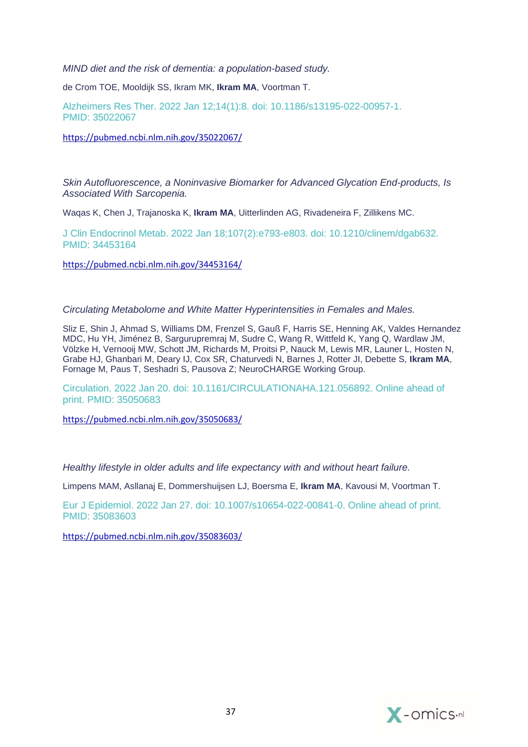*[MIND diet and the risk of dementia: a population-based study.](https://pubmed.ncbi.nlm.nih.gov/35022067/)*

de Crom TOE, Mooldijk SS, Ikram MK, **Ikram MA**, Voortman T.

Alzheimers Res Ther. 2022 Jan 12;14(1):8. doi: 10.1186/s13195-022-00957-1. PMID: 35022067

<https://pubmed.ncbi.nlm.nih.gov/35022067/>

*[Skin Autofluorescence, a Noninvasive Biomarker for Advanced Glycation End-products, Is](https://pubmed.ncbi.nlm.nih.gov/34453164/)  [Associated With Sarcopenia.](https://pubmed.ncbi.nlm.nih.gov/34453164/)*

Waqas K, Chen J, Trajanoska K, **Ikram MA**, Uitterlinden AG, Rivadeneira F, Zillikens MC.

J Clin Endocrinol Metab. 2022 Jan 18;107(2):e793-e803. doi: 10.1210/clinem/dgab632. PMID: 34453164

<https://pubmed.ncbi.nlm.nih.gov/34453164/>

## *[Circulating Metabolome and White Matter Hyperintensities in Females and Males.](https://pubmed.ncbi.nlm.nih.gov/35050683/)*

Sliz E, Shin J, Ahmad S, Williams DM, Frenzel S, Gauß F, Harris SE, Henning AK, Valdes Hernandez MDC, Hu YH, Jiménez B, Sargurupremraj M, Sudre C, Wang R, Wittfeld K, Yang Q, Wardlaw JM, Völzke H, Vernooij MW, Schott JM, Richards M, Proitsi P, Nauck M, Lewis MR, Launer L, Hosten N, Grabe HJ, Ghanbari M, Deary IJ, Cox SR, Chaturvedi N, Barnes J, Rotter JI, Debette S, **Ikram MA**, Fornage M, Paus T, Seshadri S, Pausova Z; NeuroCHARGE Working Group.

Circulation. 2022 Jan 20. doi: 10.1161/CIRCULATIONAHA.121.056892. Online ahead of print. PMID: 35050683

<https://pubmed.ncbi.nlm.nih.gov/35050683/>

*[Healthy lifestyle in older adults and life expectancy with and without heart failure.](https://pubmed.ncbi.nlm.nih.gov/35083603/)*

Limpens MAM, Asllanaj E, Dommershuijsen LJ, Boersma E, **Ikram MA**, Kavousi M, Voortman T.

Eur J Epidemiol. 2022 Jan 27. doi: 10.1007/s10654-022-00841-0. Online ahead of print. PMID: 35083603

<https://pubmed.ncbi.nlm.nih.gov/35083603/>

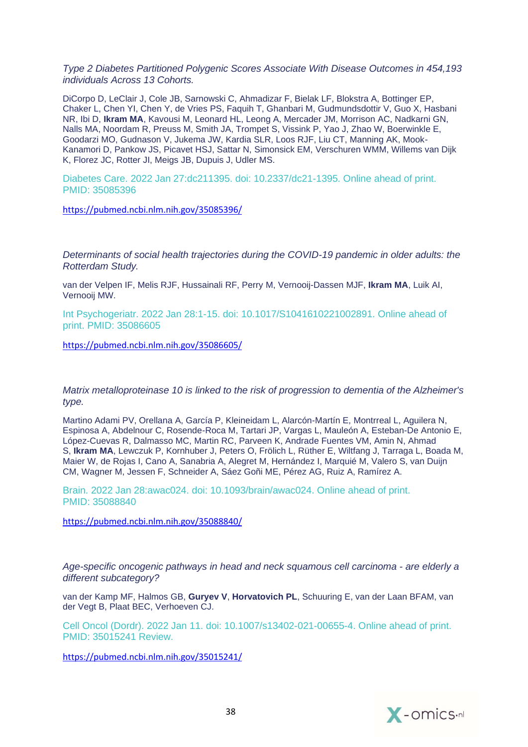*[Type 2 Diabetes Partitioned Polygenic Scores Associate With Disease Outcomes in 454,193](https://pubmed.ncbi.nlm.nih.gov/35085396/)  [individuals Across 13 Cohorts.](https://pubmed.ncbi.nlm.nih.gov/35085396/)*

DiCorpo D, LeClair J, Cole JB, Sarnowski C, Ahmadizar F, Bielak LF, Blokstra A, Bottinger EP, Chaker L, Chen YI, Chen Y, de Vries PS, Faquih T, Ghanbari M, Gudmundsdottir V, Guo X, Hasbani NR, Ibi D, **Ikram MA**, Kavousi M, Leonard HL, Leong A, Mercader JM, Morrison AC, Nadkarni GN, Nalls MA, Noordam R, Preuss M, Smith JA, Trompet S, Vissink P, Yao J, Zhao W, Boerwinkle E, Goodarzi MO, Gudnason V, Jukema JW, Kardia SLR, Loos RJF, Liu CT, Manning AK, Mook-Kanamori D, Pankow JS, Picavet HSJ, Sattar N, Simonsick EM, Verschuren WMM, Willems van Dijk K, Florez JC, Rotter JI, Meigs JB, Dupuis J, Udler MS.

Diabetes Care. 2022 Jan 27:dc211395. doi: 10.2337/dc21-1395. Online ahead of print. PMID: 35085396

<https://pubmed.ncbi.nlm.nih.gov/35085396/>

*[Determinants of social health trajectories during the COVID-19 pandemic in older adults: the](https://pubmed.ncbi.nlm.nih.gov/35086605/)  [Rotterdam Study.](https://pubmed.ncbi.nlm.nih.gov/35086605/)*

van der Velpen IF, Melis RJF, Hussainali RF, Perry M, Vernooij-Dassen MJF, **Ikram MA**, Luik AI, Vernooij MW.

Int Psychogeriatr. 2022 Jan 28:1-15. doi: 10.1017/S1041610221002891. Online ahead of print. PMID: 35086605

<https://pubmed.ncbi.nlm.nih.gov/35086605/>

#### *[Matrix metalloproteinase 10 is linked to the risk of progression to dementia of the Alzheimer's](https://pubmed.ncbi.nlm.nih.gov/35088840/)  [type.](https://pubmed.ncbi.nlm.nih.gov/35088840/)*

Martino Adami PV, Orellana A, García P, Kleineidam L, Alarcón-Martín E, Montrreal L, Aguilera N, Espinosa A, Abdelnour C, Rosende-Roca M, Tartari JP, Vargas L, Mauleón A, Esteban-De Antonio E, López-Cuevas R, Dalmasso MC, Martin RC, Parveen K, Andrade Fuentes VM, Amin N, Ahmad S, **Ikram MA**, Lewczuk P, Kornhuber J, Peters O, Frölich L, Rüther E, Wiltfang J, Tarraga L, Boada M, Maier W, de Rojas I, Cano A, Sanabria A, Alegret M, Hernández I, Marquié M, Valero S, van Duijn CM, Wagner M, Jessen F, Schneider A, Sáez Goñi ME, Pérez AG, Ruiz A, Ramírez A.

Brain. 2022 Jan 28:awac024. doi: 10.1093/brain/awac024. Online ahead of print. PMID: 35088840

<https://pubmed.ncbi.nlm.nih.gov/35088840/>

*[Age-specific oncogenic pathways in head and neck squamous cell carcinoma](https://pubmed.ncbi.nlm.nih.gov/35015241/) - are elderly a [different subcategory?](https://pubmed.ncbi.nlm.nih.gov/35015241/)*

van der Kamp MF, Halmos GB, **Guryev V**, **Horvatovich PL**, Schuuring E, van der Laan BFAM, van der Vegt B, Plaat BEC, Verhoeven CJ.

Cell Oncol (Dordr). 2022 Jan 11. doi: 10.1007/s13402-021-00655-4. Online ahead of print. PMID: 35015241 Review.

<https://pubmed.ncbi.nlm.nih.gov/35015241/>

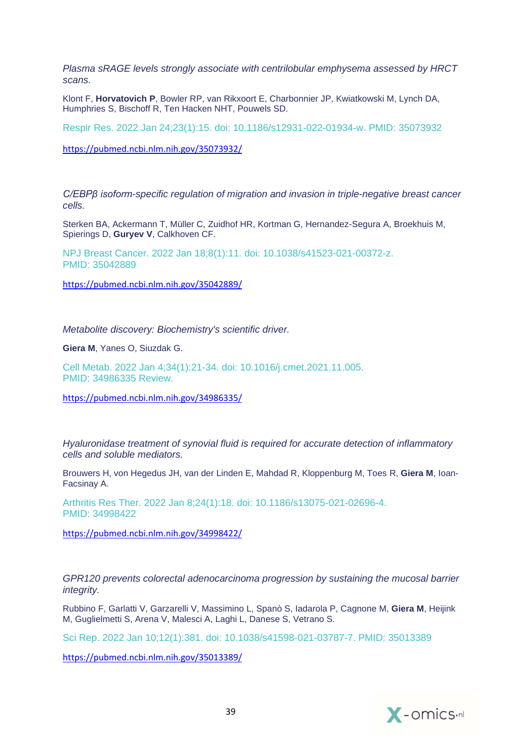*[Plasma sRAGE levels strongly associate with centrilobular emphysema assessed by HRCT](https://pubmed.ncbi.nlm.nih.gov/35073932/)  [scans.](https://pubmed.ncbi.nlm.nih.gov/35073932/)*

Klont F, **Horvatovich P**, Bowler RP, van Rikxoort E, Charbonnier JP, Kwiatkowski M, Lynch DA, Humphries S, Bischoff R, Ten Hacken NHT, Pouwels SD.

Respir Res. 2022 Jan 24;23(1):15. doi: 10.1186/s12931-022-01934-w. PMID: 35073932

<https://pubmed.ncbi.nlm.nih.gov/35073932/>

*[C/EBPβ isoform-specific regulation of migration and invasion in triple-negative breast cancer](https://pubmed.ncbi.nlm.nih.gov/35042889/)  [cells.](https://pubmed.ncbi.nlm.nih.gov/35042889/)*

Sterken BA, Ackermann T, Müller C, Zuidhof HR, Kortman G, Hernandez-Segura A, Broekhuis M, Spierings D, **Guryev V**, Calkhoven CF.

NPJ Breast Cancer. 2022 Jan 18;8(1):11. doi: 10.1038/s41523-021-00372-z. PMID: 35042889

<https://pubmed.ncbi.nlm.nih.gov/35042889/>

*[Metabolite discovery: Biochemistry's scientific driver.](https://pubmed.ncbi.nlm.nih.gov/34986335/)*

**Giera M**, Yanes O, Siuzdak G.

Cell Metab. 2022 Jan 4;34(1):21-34. doi: 10.1016/j.cmet.2021.11.005. PMID: 34986335 Review.

<https://pubmed.ncbi.nlm.nih.gov/34986335/>

*[Hyaluronidase treatment of synovial fluid is required for accurate detection of inflammatory](https://pubmed.ncbi.nlm.nih.gov/34998422/)  [cells and soluble mediators.](https://pubmed.ncbi.nlm.nih.gov/34998422/)*

Brouwers H, von Hegedus JH, van der Linden E, Mahdad R, Kloppenburg M, Toes R, **Giera M**, Ioan-Facsinay A.

Arthritis Res Ther. 2022 Jan 8;24(1):18. doi: 10.1186/s13075-021-02696-4. PMID: 34998422

<https://pubmed.ncbi.nlm.nih.gov/34998422/>

*[GPR120 prevents colorectal adenocarcinoma progression by sustaining the mucosal barrier](https://pubmed.ncbi.nlm.nih.gov/35013389/)  [integrity.](https://pubmed.ncbi.nlm.nih.gov/35013389/)*

Rubbino F, Garlatti V, Garzarelli V, Massimino L, Spanò S, Iadarola P, Cagnone M, **Giera M**, Heijink M, Guglielmetti S, Arena V, Malesci A, Laghi L, Danese S, Vetrano S.

Sci Rep. 2022 Jan 10;12(1):381. doi: 10.1038/s41598-021-03787-7. PMID: 35013389

<https://pubmed.ncbi.nlm.nih.gov/35013389/>

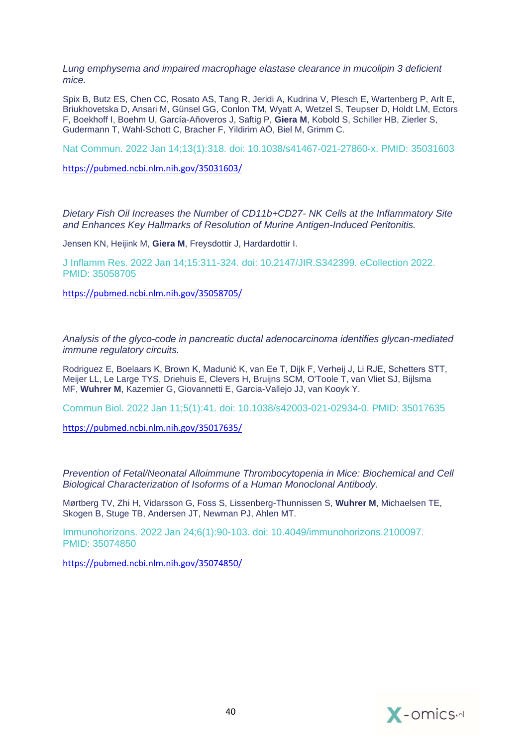*Lung emphysema and impaired macrophage elastase clearance in mucolipin 3 deficient mice.*

Spix B, Butz ES, Chen CC, Rosato AS, Tang R, Jeridi A, Kudrina V, Plesch E, Wartenberg P, Arlt E, Briukhovetska D, Ansari M, Günsel GG, Conlon TM, Wyatt A, Wetzel S, Teupser D, Holdt LM, Ectors F, Boekhoff I, Boehm U, García-Añoveros J, Saftig P, **Giera M**, Kobold S, Schiller HB, Zierler S, Gudermann T, Wahl-Schott C, Bracher F, Yildirim AÖ, Biel M, Grimm C.

Nat Commun. 2022 Jan 14;13(1):318. doi: 10.1038/s41467-021-27860-x. PMID: 35031603

<https://pubmed.ncbi.nlm.nih.gov/35031603/>

*[Dietary Fish Oil Increases the Number of CD11b+CD27-](https://pubmed.ncbi.nlm.nih.gov/35058705/) NK Cells at the Inflammatory Site [and Enhances Key Hallmarks of Resolution of Murine Antigen-Induced Peritonitis.](https://pubmed.ncbi.nlm.nih.gov/35058705/)*

Jensen KN, Heijink M, **Giera M**, Freysdottir J, Hardardottir I.

J Inflamm Res. 2022 Jan 14;15:311-324. doi: 10.2147/JIR.S342399. eCollection 2022. PMID: 35058705

<https://pubmed.ncbi.nlm.nih.gov/35058705/>

*[Analysis of the glyco-code in pancreatic ductal adenocarcinoma identifies glycan-mediated](https://pubmed.ncbi.nlm.nih.gov/35017635/)  immune [regulatory circuits.](https://pubmed.ncbi.nlm.nih.gov/35017635/)*

Rodriguez E, Boelaars K, Brown K, Madunić K, van Ee T, Dijk F, Verheij J, Li RJE, Schetters STT, Meijer LL, Le Large TYS, Driehuis E, Clevers H, Bruijns SCM, O'Toole T, van Vliet SJ, Bijlsma MF, **Wuhrer M**, Kazemier G, Giovannetti E, Garcia-Vallejo JJ, van Kooyk Y.

Commun Biol. 2022 Jan 11;5(1):41. doi: 10.1038/s42003-021-02934-0. PMID: 35017635

<https://pubmed.ncbi.nlm.nih.gov/35017635/>

*[Prevention of Fetal/Neonatal Alloimmune Thrombocytopenia in Mice: Biochemical and Cell](https://pubmed.ncbi.nlm.nih.gov/35074850/)  [Biological Characterization of Isoforms of a Human Monoclonal Antibody.](https://pubmed.ncbi.nlm.nih.gov/35074850/)*

Mørtberg TV, Zhi H, Vidarsson G, Foss S, Lissenberg-Thunnissen S, **Wuhrer M**, Michaelsen TE, Skogen B, Stuge TB, Andersen JT, Newman PJ, Ahlen MT.

Immunohorizons. 2022 Jan 24;6(1):90-103. doi: 10.4049/immunohorizons.2100097. PMID: 35074850

<https://pubmed.ncbi.nlm.nih.gov/35074850/>